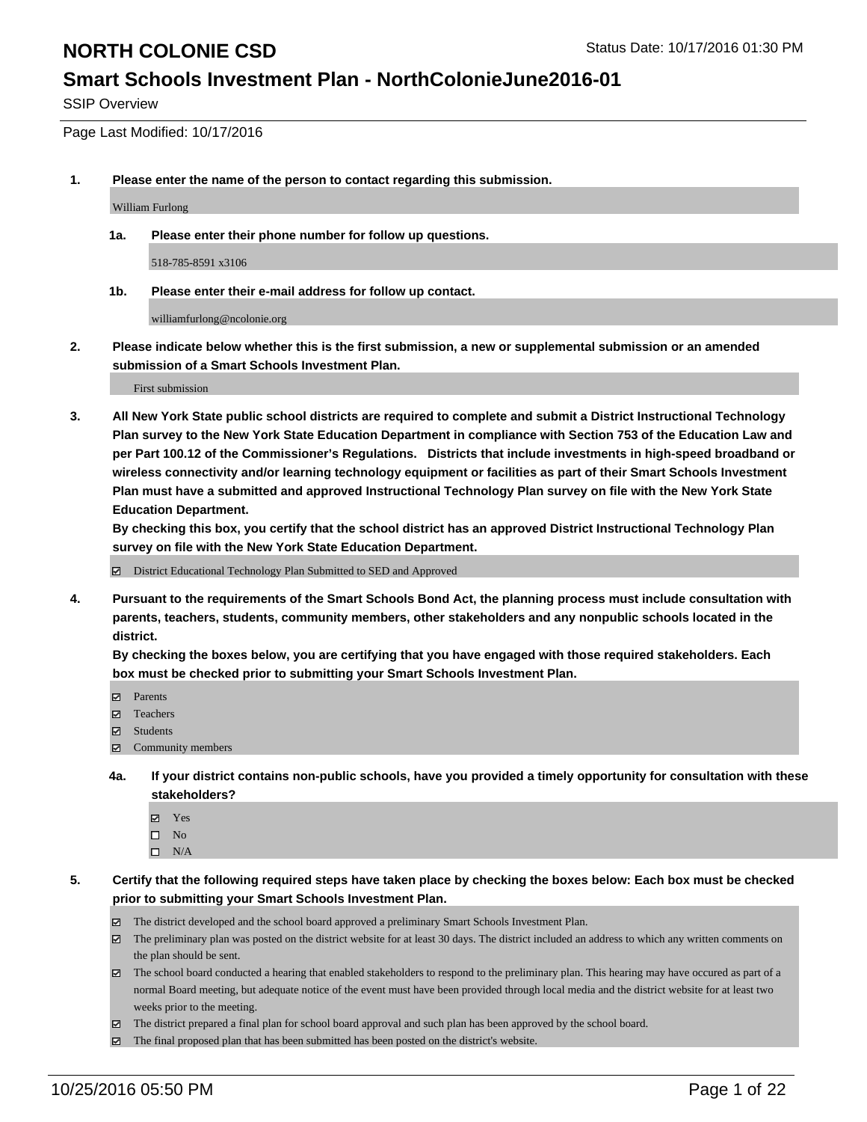### **Smart Schools Investment Plan - NorthColonieJune2016-01**

SSIP Overview

Page Last Modified: 10/17/2016

**1. Please enter the name of the person to contact regarding this submission.**

William Furlong

**1a. Please enter their phone number for follow up questions.**

518-785-8591 x3106

**1b. Please enter their e-mail address for follow up contact.**

williamfurlong@ncolonie.org

**2. Please indicate below whether this is the first submission, a new or supplemental submission or an amended submission of a Smart Schools Investment Plan.**

First submission

**3. All New York State public school districts are required to complete and submit a District Instructional Technology Plan survey to the New York State Education Department in compliance with Section 753 of the Education Law and per Part 100.12 of the Commissioner's Regulations. Districts that include investments in high-speed broadband or wireless connectivity and/or learning technology equipment or facilities as part of their Smart Schools Investment Plan must have a submitted and approved Instructional Technology Plan survey on file with the New York State Education Department.** 

**By checking this box, you certify that the school district has an approved District Instructional Technology Plan survey on file with the New York State Education Department.**

District Educational Technology Plan Submitted to SED and Approved

**4. Pursuant to the requirements of the Smart Schools Bond Act, the planning process must include consultation with parents, teachers, students, community members, other stakeholders and any nonpublic schools located in the district.** 

**By checking the boxes below, you are certifying that you have engaged with those required stakeholders. Each box must be checked prior to submitting your Smart Schools Investment Plan.**

- Parents
- Teachers
- **☑** Students
- Community members
- **4a. If your district contains non-public schools, have you provided a timely opportunity for consultation with these stakeholders?**
	- Yes  $\square$  No
	- $\square$  N/A
- **5. Certify that the following required steps have taken place by checking the boxes below: Each box must be checked prior to submitting your Smart Schools Investment Plan.**
	- The district developed and the school board approved a preliminary Smart Schools Investment Plan.
	- The preliminary plan was posted on the district website for at least 30 days. The district included an address to which any written comments on the plan should be sent.
	- $\boxtimes$  The school board conducted a hearing that enabled stakeholders to respond to the preliminary plan. This hearing may have occured as part of a normal Board meeting, but adequate notice of the event must have been provided through local media and the district website for at least two weeks prior to the meeting.
	- The district prepared a final plan for school board approval and such plan has been approved by the school board.
	- The final proposed plan that has been submitted has been posted on the district's website.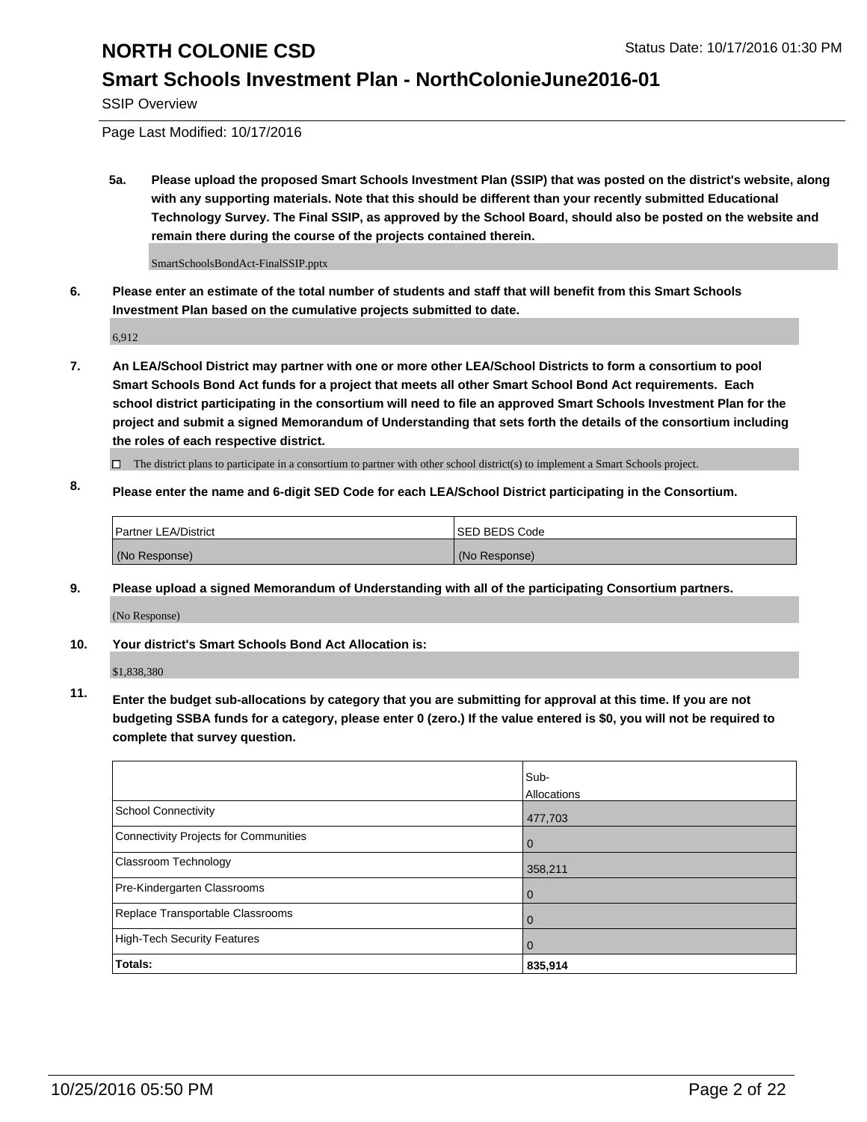### **Smart Schools Investment Plan - NorthColonieJune2016-01**

SSIP Overview

Page Last Modified: 10/17/2016

**5a. Please upload the proposed Smart Schools Investment Plan (SSIP) that was posted on the district's website, along with any supporting materials. Note that this should be different than your recently submitted Educational Technology Survey. The Final SSIP, as approved by the School Board, should also be posted on the website and remain there during the course of the projects contained therein.**

SmartSchoolsBondAct-FinalSSIP.pptx

**6. Please enter an estimate of the total number of students and staff that will benefit from this Smart Schools Investment Plan based on the cumulative projects submitted to date.**

6,912

- **7. An LEA/School District may partner with one or more other LEA/School Districts to form a consortium to pool Smart Schools Bond Act funds for a project that meets all other Smart School Bond Act requirements. Each school district participating in the consortium will need to file an approved Smart Schools Investment Plan for the project and submit a signed Memorandum of Understanding that sets forth the details of the consortium including the roles of each respective district.**
	- $\Box$  The district plans to participate in a consortium to partner with other school district(s) to implement a Smart Schools project.
- **8. Please enter the name and 6-digit SED Code for each LEA/School District participating in the Consortium.**

| Partner LEA/District | <b>ISED BEDS Code</b> |
|----------------------|-----------------------|
| (No Response)        | (No Response)         |

**9. Please upload a signed Memorandum of Understanding with all of the participating Consortium partners.**

(No Response)

#### **10. Your district's Smart Schools Bond Act Allocation is:**

\$1,838,380

**11. Enter the budget sub-allocations by category that you are submitting for approval at this time. If you are not budgeting SSBA funds for a category, please enter 0 (zero.) If the value entered is \$0, you will not be required to complete that survey question.**

|                                       | Sub-<br>Allocations |
|---------------------------------------|---------------------|
| <b>School Connectivity</b>            | 477,703             |
| Connectivity Projects for Communities | $\Omega$            |
| <b>Classroom Technology</b>           | 358,211             |
| Pre-Kindergarten Classrooms           | $\Omega$            |
| Replace Transportable Classrooms      | 0                   |
| High-Tech Security Features           | $\Omega$            |
| Totals:                               | 835,914             |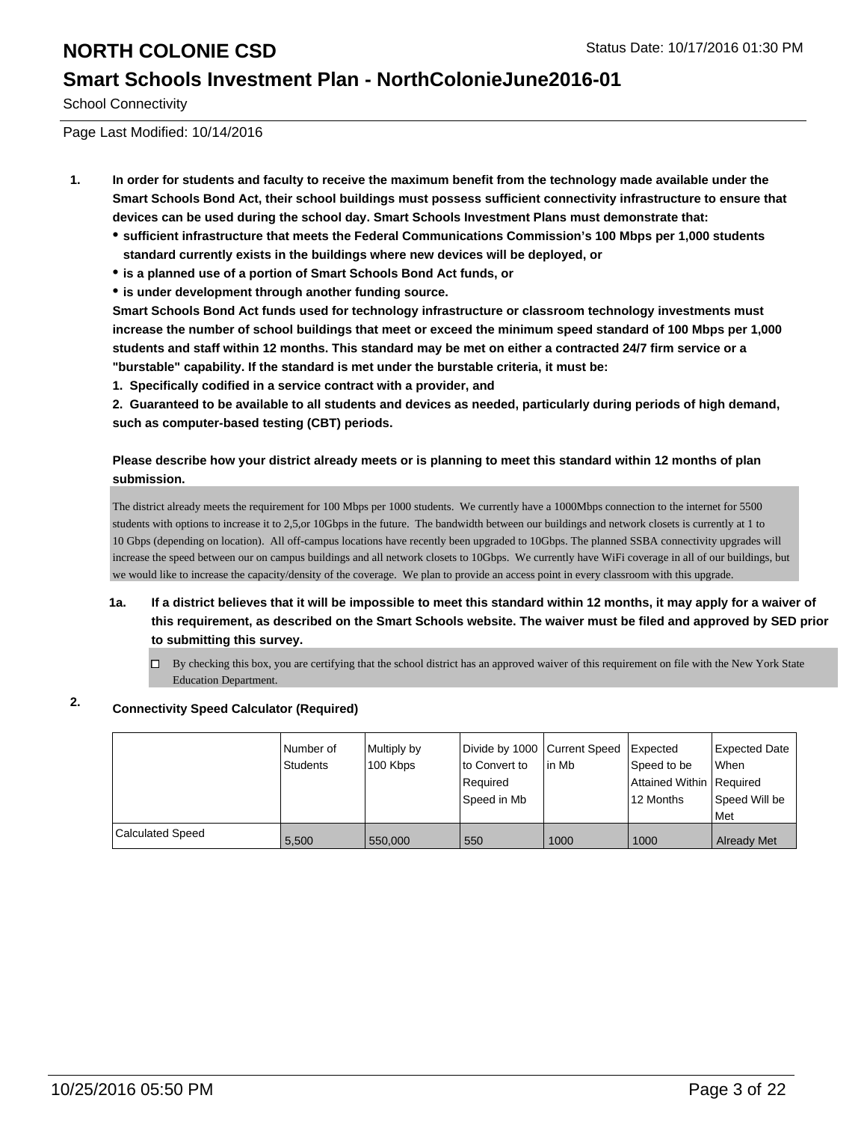### **Smart Schools Investment Plan - NorthColonieJune2016-01**

School Connectivity

Page Last Modified: 10/14/2016

- **1. In order for students and faculty to receive the maximum benefit from the technology made available under the Smart Schools Bond Act, their school buildings must possess sufficient connectivity infrastructure to ensure that devices can be used during the school day. Smart Schools Investment Plans must demonstrate that:**
	- **sufficient infrastructure that meets the Federal Communications Commission's 100 Mbps per 1,000 students standard currently exists in the buildings where new devices will be deployed, or**
	- **is a planned use of a portion of Smart Schools Bond Act funds, or**
	- **is under development through another funding source.**

**Smart Schools Bond Act funds used for technology infrastructure or classroom technology investments must increase the number of school buildings that meet or exceed the minimum speed standard of 100 Mbps per 1,000 students and staff within 12 months. This standard may be met on either a contracted 24/7 firm service or a "burstable" capability. If the standard is met under the burstable criteria, it must be:**

**1. Specifically codified in a service contract with a provider, and**

**2. Guaranteed to be available to all students and devices as needed, particularly during periods of high demand, such as computer-based testing (CBT) periods.**

### **Please describe how your district already meets or is planning to meet this standard within 12 months of plan submission.**

The district already meets the requirement for 100 Mbps per 1000 students. We currently have a 1000Mbps connection to the internet for 5500 students with options to increase it to 2,5,or 10Gbps in the future. The bandwidth between our buildings and network closets is currently at 1 to 10 Gbps (depending on location). All off-campus locations have recently been upgraded to 10Gbps. The planned SSBA connectivity upgrades will increase the speed between our on campus buildings and all network closets to 10Gbps. We currently have WiFi coverage in all of our buildings, but we would like to increase the capacity/density of the coverage. We plan to provide an access point in every classroom with this upgrade.

- **1a. If a district believes that it will be impossible to meet this standard within 12 months, it may apply for a waiver of this requirement, as described on the Smart Schools website. The waiver must be filed and approved by SED prior to submitting this survey.**
	- $\Box$  By checking this box, you are certifying that the school district has an approved waiver of this requirement on file with the New York State Education Department.

### **2. Connectivity Speed Calculator (Required)**

|                         | Number of<br>Students | Multiply by<br>100 Kbps | Divide by 1000 Current Speed<br>to Convert to<br>Required<br>Speed in Mb | lin Mb | Expected<br>Speed to be<br>Attained Within   Required<br>12 Months | Expected Date<br><b>When</b><br>Speed Will be<br><b>Met</b> |
|-------------------------|-----------------------|-------------------------|--------------------------------------------------------------------------|--------|--------------------------------------------------------------------|-------------------------------------------------------------|
| <b>Calculated Speed</b> | 5.500                 | 550,000                 | 550                                                                      | 1000   | 1000                                                               | <b>Already Met</b>                                          |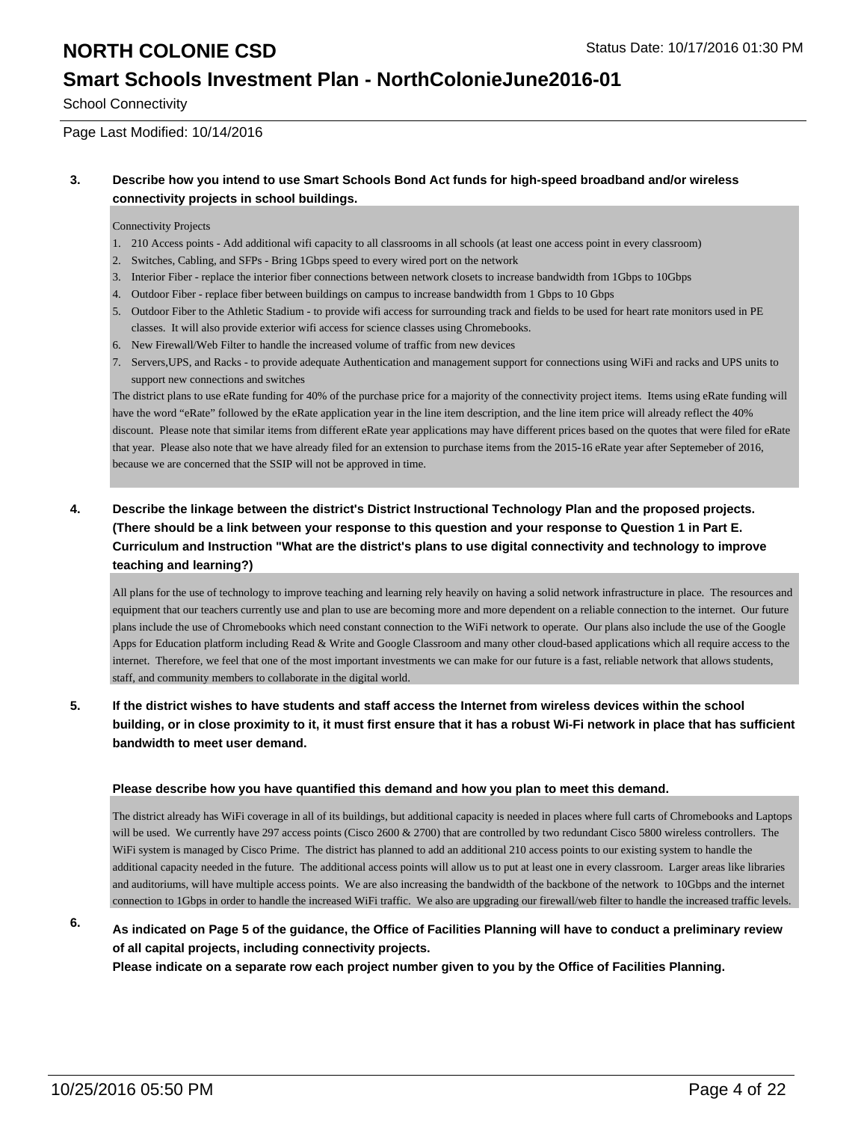### **Smart Schools Investment Plan - NorthColonieJune2016-01**

School Connectivity

### Page Last Modified: 10/14/2016

### **3. Describe how you intend to use Smart Schools Bond Act funds for high-speed broadband and/or wireless connectivity projects in school buildings.**

#### Connectivity Projects

- 1. 210 Access points Add additional wifi capacity to all classrooms in all schools (at least one access point in every classroom)
- 2. Switches, Cabling, and SFPs Bring 1Gbps speed to every wired port on the network
- 3. Interior Fiber replace the interior fiber connections between network closets to increase bandwidth from 1Gbps to 10Gbps
- 4. Outdoor Fiber replace fiber between buildings on campus to increase bandwidth from 1 Gbps to 10 Gbps
- 5. Outdoor Fiber to the Athletic Stadium to provide wifi access for surrounding track and fields to be used for heart rate monitors used in PE classes. It will also provide exterior wifi access for science classes using Chromebooks.
- 6. New Firewall/Web Filter to handle the increased volume of traffic from new devices
- 7. Servers, UPS, and Racks to provide adequate Authentication and management support for connections using WiFi and racks and UPS units to support new connections and switches

The district plans to use eRate funding for 40% of the purchase price for a majority of the connectivity project items. Items using eRate funding will have the word "eRate" followed by the eRate application year in the line item description, and the line item price will already reflect the 40% discount. Please note that similar items from different eRate year applications may have different prices based on the quotes that were filed for eRate that year. Please also note that we have already filed for an extension to purchase items from the 2015-16 eRate year after Septemeber of 2016, because we are concerned that the SSIP will not be approved in time.

### **4. Describe the linkage between the district's District Instructional Technology Plan and the proposed projects. (There should be a link between your response to this question and your response to Question 1 in Part E. Curriculum and Instruction "What are the district's plans to use digital connectivity and technology to improve teaching and learning?)**

All plans for the use of technology to improve teaching and learning rely heavily on having a solid network infrastructure in place. The resources and equipment that our teachers currently use and plan to use are becoming more and more dependent on a reliable connection to the internet. Our future plans include the use of Chromebooks which need constant connection to the WiFi network to operate. Our plans also include the use of the Google Apps for Education platform including Read & Write and Google Classroom and many other cloud-based applications which all require access to the internet. Therefore, we feel that one of the most important investments we can make for our future is a fast, reliable network that allows students, staff, and community members to collaborate in the digital world.

### **5. If the district wishes to have students and staff access the Internet from wireless devices within the school building, or in close proximity to it, it must first ensure that it has a robust Wi-Fi network in place that has sufficient bandwidth to meet user demand.**

#### **Please describe how you have quantified this demand and how you plan to meet this demand.**

The district already has WiFi coverage in all of its buildings, but additional capacity is needed in places where full carts of Chromebooks and Laptops will be used. We currently have 297 access points (Cisco 2600 & 2700) that are controlled by two redundant Cisco 5800 wireless controllers. The WiFi system is managed by Cisco Prime. The district has planned to add an additional 210 access points to our existing system to handle the additional capacity needed in the future. The additional access points will allow us to put at least one in every classroom. Larger areas like libraries and auditoriums, will have multiple access points. We are also increasing the bandwidth of the backbone of the network to 10Gbps and the internet connection to 1Gbps in order to handle the increased WiFi traffic. We also are upgrading our firewall/web filter to handle the increased traffic levels.

### **6. As indicated on Page 5 of the guidance, the Office of Facilities Planning will have to conduct a preliminary review of all capital projects, including connectivity projects.**

**Please indicate on a separate row each project number given to you by the Office of Facilities Planning.**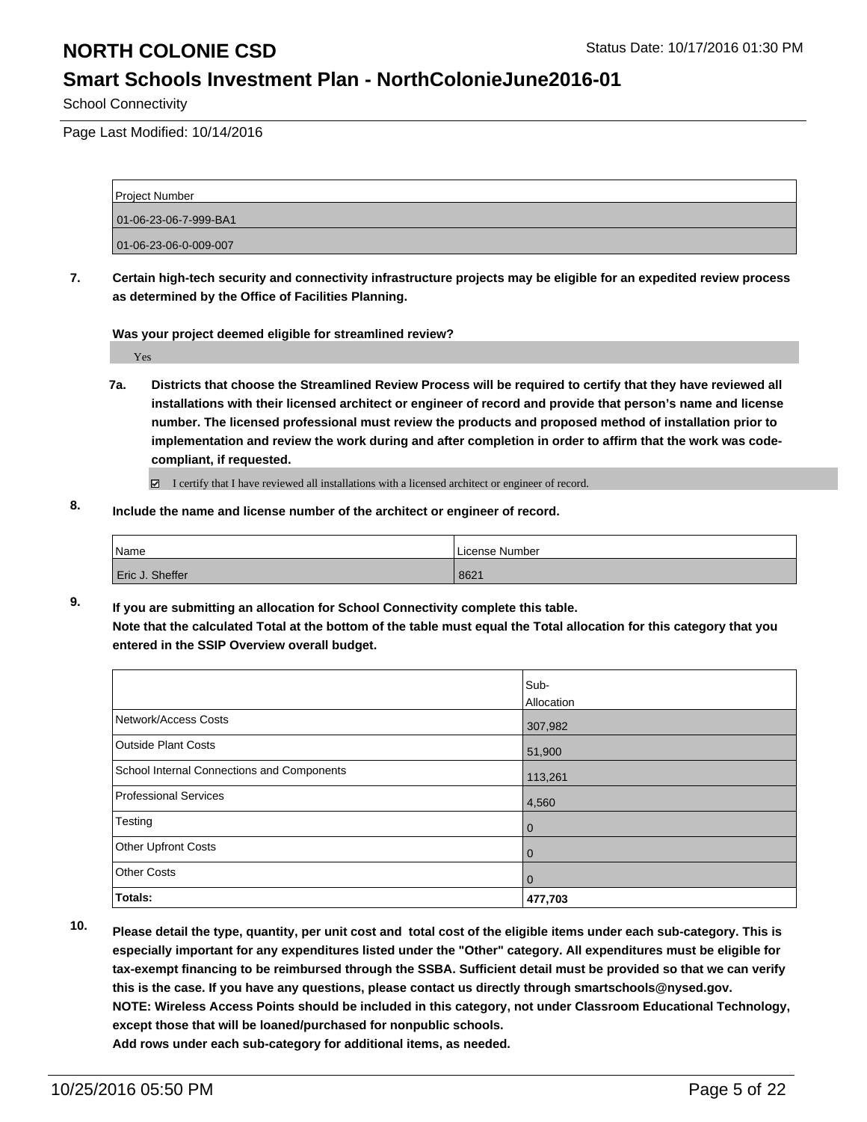### **Smart Schools Investment Plan - NorthColonieJune2016-01**

School Connectivity

Page Last Modified: 10/14/2016

| <b>Project Number</b> |  |
|-----------------------|--|
| 01-06-23-06-7-999-BA1 |  |
| 01-06-23-06-0-009-007 |  |

**7. Certain high-tech security and connectivity infrastructure projects may be eligible for an expedited review process as determined by the Office of Facilities Planning.**

**Was your project deemed eligible for streamlined review?**

Yes

**7a. Districts that choose the Streamlined Review Process will be required to certify that they have reviewed all installations with their licensed architect or engineer of record and provide that person's name and license number. The licensed professional must review the products and proposed method of installation prior to implementation and review the work during and after completion in order to affirm that the work was codecompliant, if requested.**

■ I certify that I have reviewed all installations with a licensed architect or engineer of record.

**8. Include the name and license number of the architect or engineer of record.**

| Name |                 | License Number |
|------|-----------------|----------------|
|      | Eric J. Sheffer | 8621           |

**9. If you are submitting an allocation for School Connectivity complete this table. Note that the calculated Total at the bottom of the table must equal the Total allocation for this category that you entered in the SSIP Overview overall budget.** 

|                                            | Sub-<br>Allocation |
|--------------------------------------------|--------------------|
| Network/Access Costs                       | 307,982            |
| <b>Outside Plant Costs</b>                 | 51,900             |
| School Internal Connections and Components | 113,261            |
| Professional Services                      | 4,560              |
| Testing                                    | 0                  |
| Other Upfront Costs                        | 0                  |
| <b>Other Costs</b>                         | 0                  |
| Totals:                                    | 477,703            |

**10. Please detail the type, quantity, per unit cost and total cost of the eligible items under each sub-category. This is especially important for any expenditures listed under the "Other" category. All expenditures must be eligible for tax-exempt financing to be reimbursed through the SSBA. Sufficient detail must be provided so that we can verify this is the case. If you have any questions, please contact us directly through smartschools@nysed.gov. NOTE: Wireless Access Points should be included in this category, not under Classroom Educational Technology, except those that will be loaned/purchased for nonpublic schools.**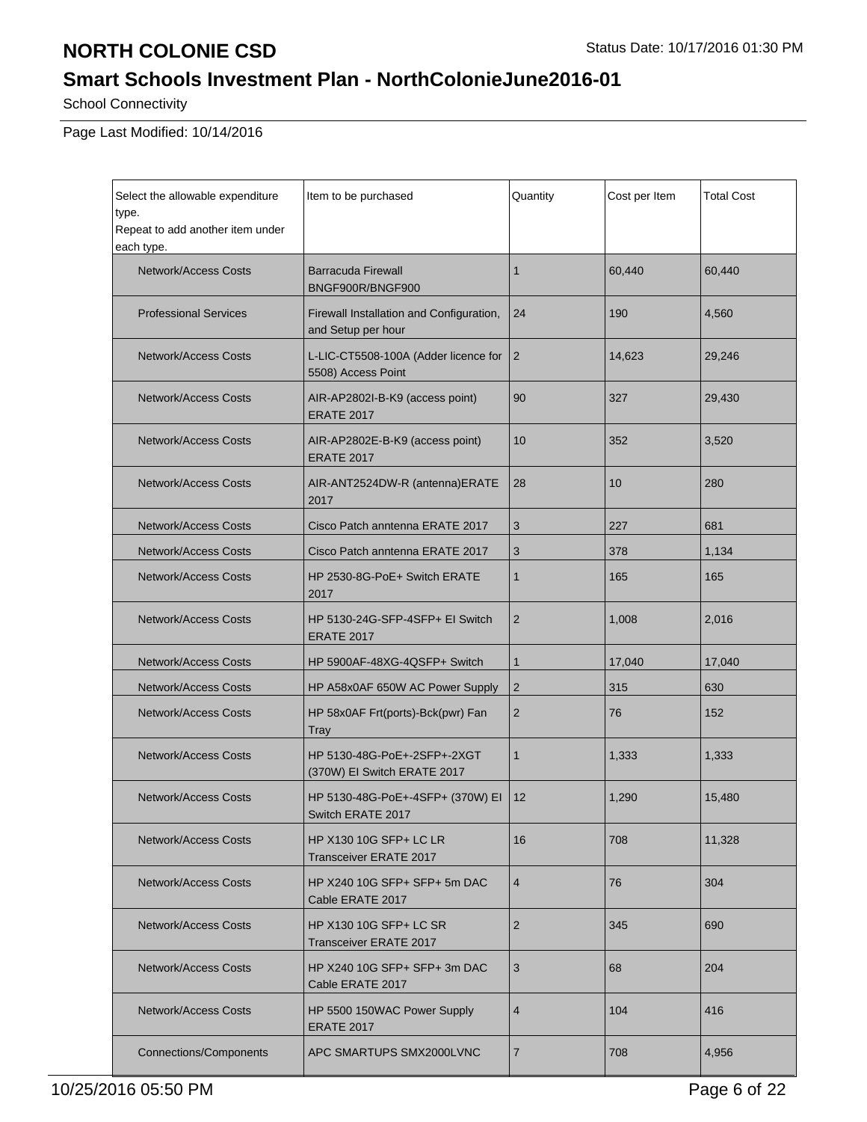# **Smart Schools Investment Plan - NorthColonieJune2016-01**

School Connectivity

| Select the allowable expenditure<br>type.      | Item to be purchased                                           | Quantity       | Cost per Item | Total Cost |
|------------------------------------------------|----------------------------------------------------------------|----------------|---------------|------------|
| Repeat to add another item under<br>each type. |                                                                |                |               |            |
| Network/Access Costs                           | <b>Barracuda Firewall</b><br>BNGF900R/BNGF900                  | $\mathbf{1}$   | 60,440        | 60,440     |
| <b>Professional Services</b>                   | Firewall Installation and Configuration,<br>and Setup per hour | 24             | 190           | 4,560      |
| <b>Network/Access Costs</b>                    | L-LIC-CT5508-100A (Adder licence for<br>5508) Access Point     | $\overline{2}$ | 14,623        | 29,246     |
| <b>Network/Access Costs</b>                    | AIR-AP2802I-B-K9 (access point)<br><b>ERATE 2017</b>           | 90             | 327           | 29,430     |
| <b>Network/Access Costs</b>                    | AIR-AP2802E-B-K9 (access point)<br><b>ERATE 2017</b>           | 10             | 352           | 3,520      |
| <b>Network/Access Costs</b>                    | AIR-ANT2524DW-R (antenna)ERATE<br>2017                         | 28             | 10            | 280        |
| <b>Network/Access Costs</b>                    | Cisco Patch anntenna ERATE 2017                                | 3              | 227           | 681        |
| <b>Network/Access Costs</b>                    | Cisco Patch anntenna ERATE 2017                                | 3              | 378           | 1,134      |
| <b>Network/Access Costs</b>                    | HP 2530-8G-PoE+ Switch ERATE<br>2017                           | $\mathbf{1}$   | 165           | 165        |
| <b>Network/Access Costs</b>                    | HP 5130-24G-SFP-4SFP+ EI Switch<br><b>ERATE 2017</b>           | 2              | 1,008         | 2,016      |
| Network/Access Costs                           | HP 5900AF-48XG-4QSFP+ Switch                                   | $\mathbf{1}$   | 17,040        | 17,040     |
| <b>Network/Access Costs</b>                    | HP A58x0AF 650W AC Power Supply                                | $\overline{2}$ | 315           | 630        |
| <b>Network/Access Costs</b>                    | HP 58x0AF Frt(ports)-Bck(pwr) Fan<br>Tray                      | 2              | 76            | 152        |
| Network/Access Costs                           | HP 5130-48G-PoE+-2SFP+-2XGT<br>(370W) El Switch ERATE 2017     | $\mathbf{1}$   | 1,333         | 1,333      |
| <b>Network/Access Costs</b>                    | HP 5130-48G-PoE+-4SFP+ (370W) EI<br>Switch ERATE 2017          | 12             | 1,290         | 15,480     |
| <b>Network/Access Costs</b>                    | HP X130 10G SFP+ LC LR<br>Transceiver ERATE 2017               | 16             | 708           | 11,328     |
| <b>Network/Access Costs</b>                    | HP X240 10G SFP+ SFP+ 5m DAC<br>Cable ERATE 2017               | $\overline{4}$ | 76            | 304        |
| Network/Access Costs                           | <b>HP X130 10G SFP+ LC SR</b><br>Transceiver ERATE 2017        | $\overline{2}$ | 345           | 690        |
| Network/Access Costs                           | HP X240 10G SFP+ SFP+ 3m DAC<br>Cable ERATE 2017               | 3              | 68            | 204        |
| <b>Network/Access Costs</b>                    | HP 5500 150WAC Power Supply<br><b>ERATE 2017</b>               | 4              | 104           | 416        |
| <b>Connections/Components</b>                  | APC SMARTUPS SMX2000LVNC                                       | 7              | 708           | 4,956      |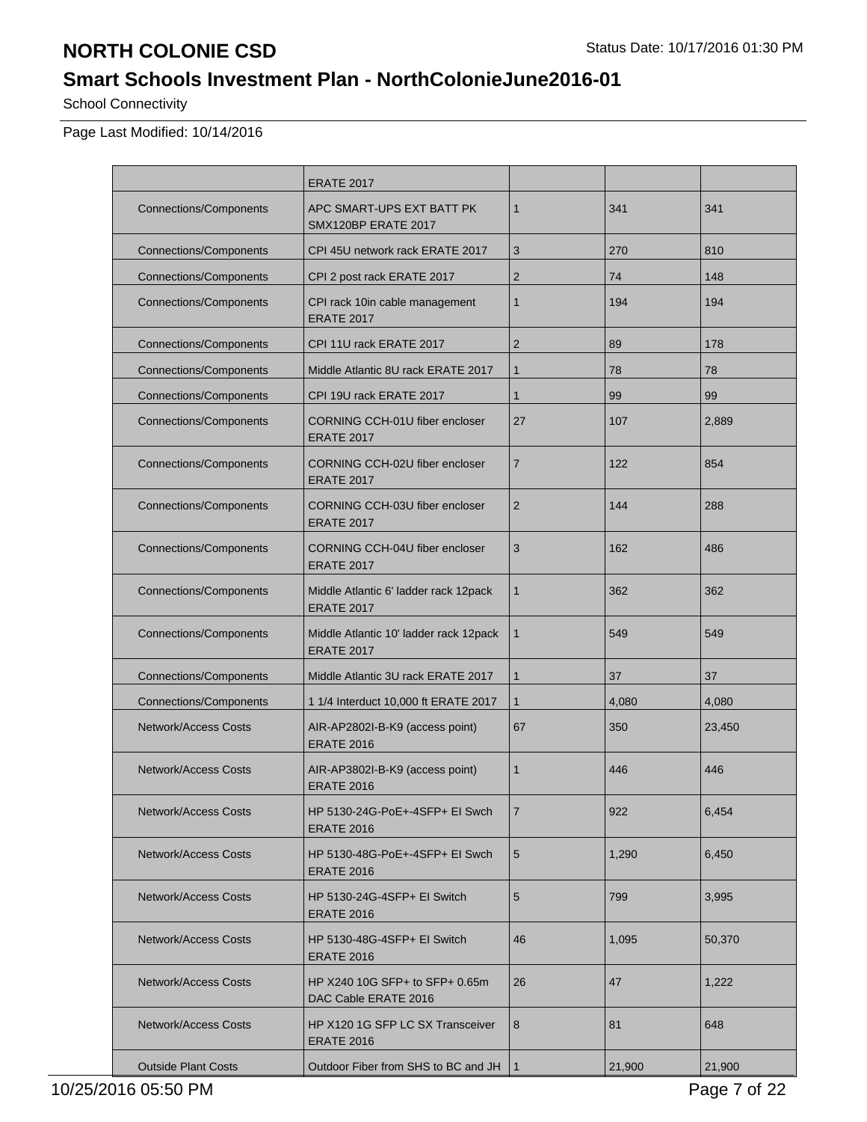# **Smart Schools Investment Plan - NorthColonieJune2016-01**

School Connectivity

|                               | <b>ERATE 2017</b>                                           |                |        |        |
|-------------------------------|-------------------------------------------------------------|----------------|--------|--------|
| <b>Connections/Components</b> | APC SMART-UPS EXT BATT PK<br><b>SMX120BP ERATE 2017</b>     | $\mathbf{1}$   | 341    | 341    |
| <b>Connections/Components</b> | CPI 45U network rack ERATE 2017                             | 3              | 270    | 810    |
| <b>Connections/Components</b> | CPI 2 post rack ERATE 2017                                  | $\overline{2}$ | 74     | 148    |
| <b>Connections/Components</b> | CPI rack 10in cable management<br><b>ERATE 2017</b>         | $\mathbf 1$    | 194    | 194    |
| <b>Connections/Components</b> | CPI 11U rack ERATE 2017                                     | $\overline{2}$ | 89     | 178    |
| <b>Connections/Components</b> | Middle Atlantic 8U rack ERATE 2017                          | $\mathbf{1}$   | 78     | 78     |
| <b>Connections/Components</b> | CPI 19U rack ERATE 2017                                     | $\mathbf{1}$   | 99     | 99     |
| <b>Connections/Components</b> | CORNING CCH-01U fiber encloser<br><b>ERATE 2017</b>         | 27             | 107    | 2,889  |
| <b>Connections/Components</b> | CORNING CCH-02U fiber encloser<br><b>ERATE 2017</b>         | 7              | 122    | 854    |
| <b>Connections/Components</b> | CORNING CCH-03U fiber encloser<br><b>ERATE 2017</b>         | $\overline{2}$ | 144    | 288    |
| <b>Connections/Components</b> | CORNING CCH-04U fiber encloser<br><b>ERATE 2017</b>         | 3              | 162    | 486    |
| <b>Connections/Components</b> | Middle Atlantic 6' ladder rack 12pack<br><b>ERATE 2017</b>  | 1              | 362    | 362    |
| <b>Connections/Components</b> | Middle Atlantic 10' ladder rack 12pack<br><b>ERATE 2017</b> | $\mathbf{1}$   | 549    | 549    |
| <b>Connections/Components</b> | Middle Atlantic 3U rack ERATE 2017                          | $\mathbf{1}$   | 37     | 37     |
| <b>Connections/Components</b> | 1 1/4 Interduct 10,000 ft ERATE 2017                        | $\mathbf{1}$   | 4,080  | 4,080  |
| <b>Network/Access Costs</b>   | AIR-AP2802I-B-K9 (access point)<br><b>ERATE 2016</b>        | 67             | 350    | 23,450 |
| <b>Network/Access Costs</b>   | AIR-AP3802I-B-K9 (access point)<br><b>ERATE 2016</b>        | $\mathbf 1$    | 446    | 446    |
| <b>Network/Access Costs</b>   | HP 5130-24G-PoE+-4SFP+ EI Swch<br><b>ERATE 2016</b>         | 7              | 922    | 6,454  |
| <b>Network/Access Costs</b>   | HP 5130-48G-PoE+-4SFP+ EI Swch<br><b>ERATE 2016</b>         | 5              | 1,290  | 6,450  |
| <b>Network/Access Costs</b>   | HP 5130-24G-4SFP+ EI Switch<br><b>ERATE 2016</b>            | 5              | 799    | 3,995  |
| <b>Network/Access Costs</b>   | HP 5130-48G-4SFP+ EI Switch<br><b>ERATE 2016</b>            | 46             | 1,095  | 50,370 |
| <b>Network/Access Costs</b>   | HP X240 10G SFP+ to SFP+ 0.65m<br>DAC Cable ERATE 2016      | 26             | 47     | 1,222  |
| <b>Network/Access Costs</b>   | HP X120 1G SFP LC SX Transceiver<br><b>ERATE 2016</b>       | 8              | 81     | 648    |
| <b>Outside Plant Costs</b>    | Outdoor Fiber from SHS to BC and JH                         | $\mathbf{1}$   | 21,900 | 21,900 |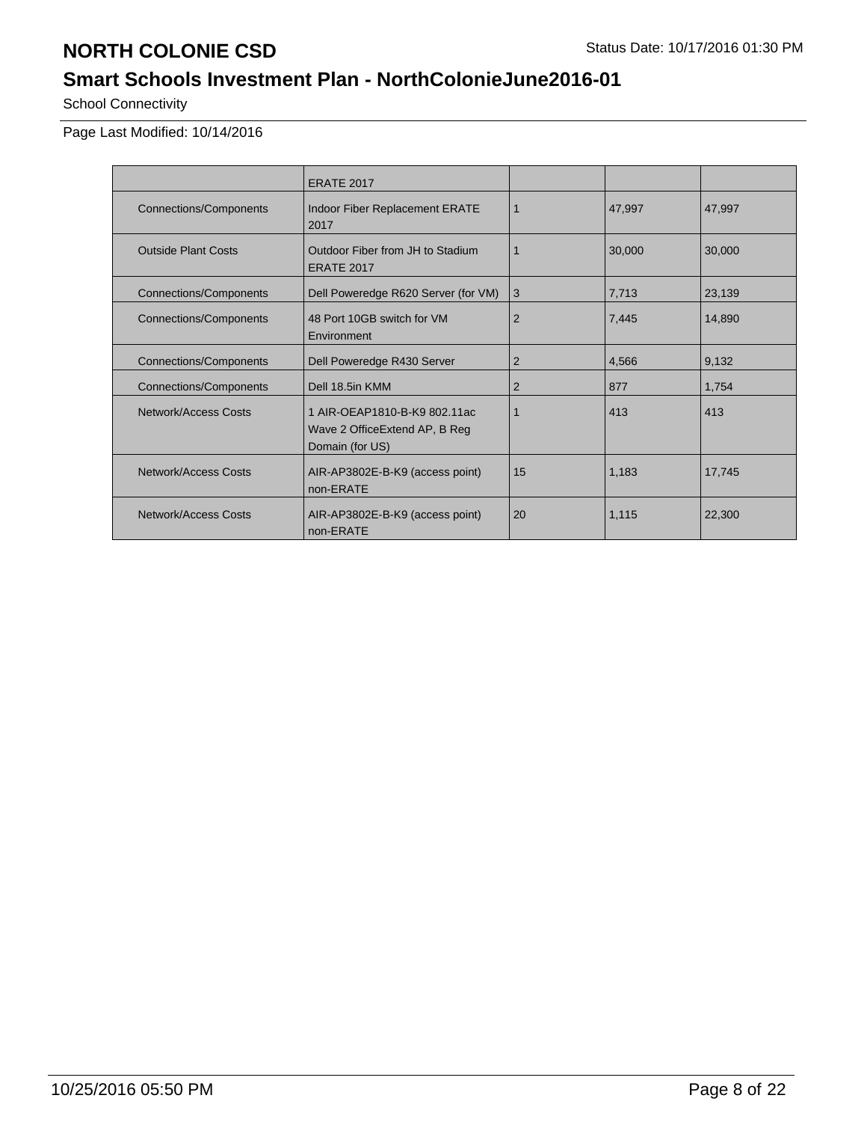# **Smart Schools Investment Plan - NorthColonieJune2016-01**

School Connectivity

|                               | <b>ERATE 2017</b>                                                                 |                |        |        |
|-------------------------------|-----------------------------------------------------------------------------------|----------------|--------|--------|
| <b>Connections/Components</b> | Indoor Fiber Replacement ERATE<br>2017                                            | 1              | 47,997 | 47,997 |
| <b>Outside Plant Costs</b>    | Outdoor Fiber from JH to Stadium<br><b>ERATE 2017</b>                             |                | 30,000 | 30,000 |
| <b>Connections/Components</b> | Dell Poweredge R620 Server (for VM)                                               | 3              | 7,713  | 23,139 |
| <b>Connections/Components</b> | 48 Port 10GB switch for VM<br>Environment                                         | $\overline{2}$ | 7,445  | 14,890 |
| <b>Connections/Components</b> | Dell Poweredge R430 Server                                                        | 2              | 4,566  | 9,132  |
| <b>Connections/Components</b> | Dell 18.5in KMM                                                                   | 2              | 877    | 1,754  |
| Network/Access Costs          | 1 AIR-OEAP1810-B-K9 802.11ac<br>Wave 2 Office Extend AP, B Reg<br>Domain (for US) | 1              | 413    | 413    |
| Network/Access Costs          | AIR-AP3802E-B-K9 (access point)<br>non-ERATE                                      | 15             | 1,183  | 17,745 |
| Network/Access Costs          | AIR-AP3802E-B-K9 (access point)<br>non-ERATE                                      | 20             | 1,115  | 22,300 |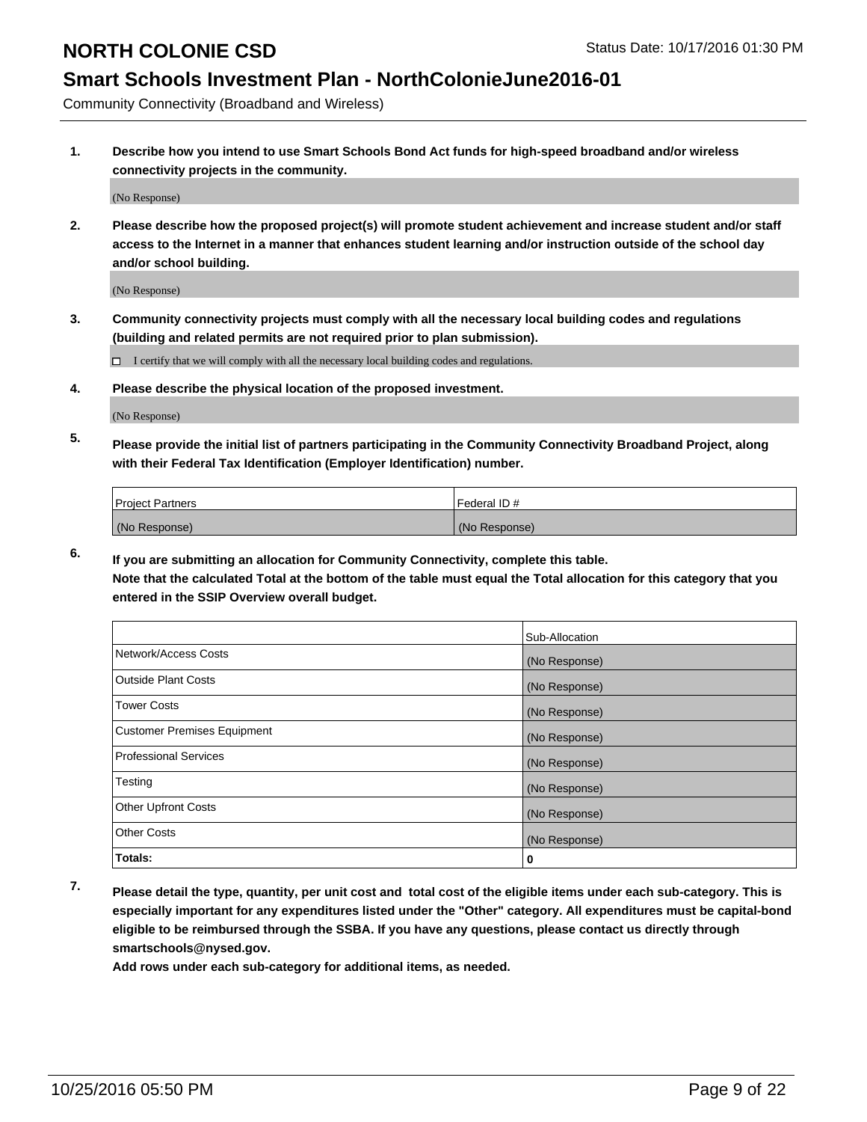## **Smart Schools Investment Plan - NorthColonieJune2016-01**

Community Connectivity (Broadband and Wireless)

**1. Describe how you intend to use Smart Schools Bond Act funds for high-speed broadband and/or wireless connectivity projects in the community.**

(No Response)

**2. Please describe how the proposed project(s) will promote student achievement and increase student and/or staff access to the Internet in a manner that enhances student learning and/or instruction outside of the school day and/or school building.**

(No Response)

**3. Community connectivity projects must comply with all the necessary local building codes and regulations (building and related permits are not required prior to plan submission).**

 $\Box$  I certify that we will comply with all the necessary local building codes and regulations.

**4. Please describe the physical location of the proposed investment.**

(No Response)

**5. Please provide the initial list of partners participating in the Community Connectivity Broadband Project, along with their Federal Tax Identification (Employer Identification) number.**

| <b>Project Partners</b> | Federal ID#   |
|-------------------------|---------------|
| (No Response)           | (No Response) |

**6. If you are submitting an allocation for Community Connectivity, complete this table.**

**Note that the calculated Total at the bottom of the table must equal the Total allocation for this category that you entered in the SSIP Overview overall budget.**

|                             | Sub-Allocation |
|-----------------------------|----------------|
| Network/Access Costs        | (No Response)  |
| Outside Plant Costs         | (No Response)  |
| <b>Tower Costs</b>          | (No Response)  |
| Customer Premises Equipment | (No Response)  |
| Professional Services       | (No Response)  |
| Testing                     | (No Response)  |
| <b>Other Upfront Costs</b>  | (No Response)  |
| Other Costs                 | (No Response)  |
| Totals:                     | 0              |

**7. Please detail the type, quantity, per unit cost and total cost of the eligible items under each sub-category. This is especially important for any expenditures listed under the "Other" category. All expenditures must be capital-bond eligible to be reimbursed through the SSBA. If you have any questions, please contact us directly through smartschools@nysed.gov.**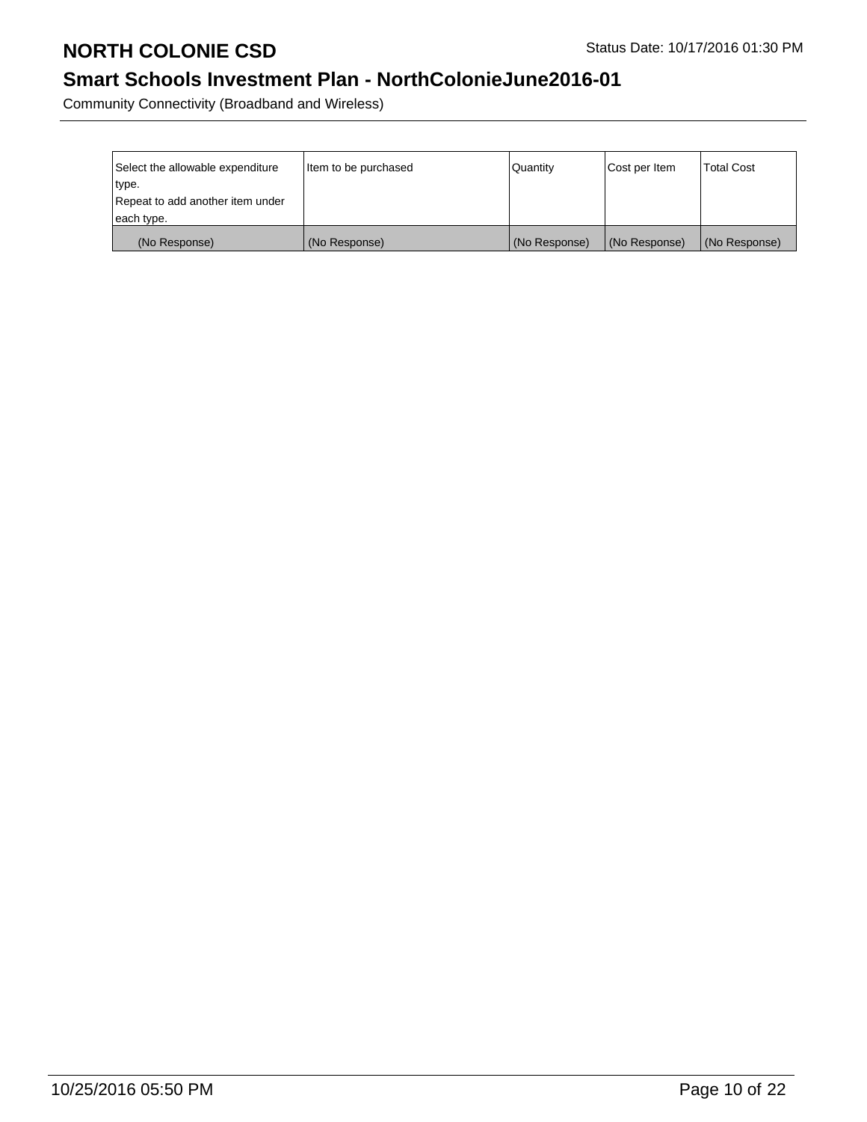## **Smart Schools Investment Plan - NorthColonieJune2016-01**

Community Connectivity (Broadband and Wireless)

| Select the allowable expenditure | Item to be purchased | Quantity      | Cost per Item | <b>Total Cost</b> |
|----------------------------------|----------------------|---------------|---------------|-------------------|
| ∣type.                           |                      |               |               |                   |
| Repeat to add another item under |                      |               |               |                   |
| each type.                       |                      |               |               |                   |
| (No Response)                    | (No Response)        | (No Response) | (No Response) | (No Response)     |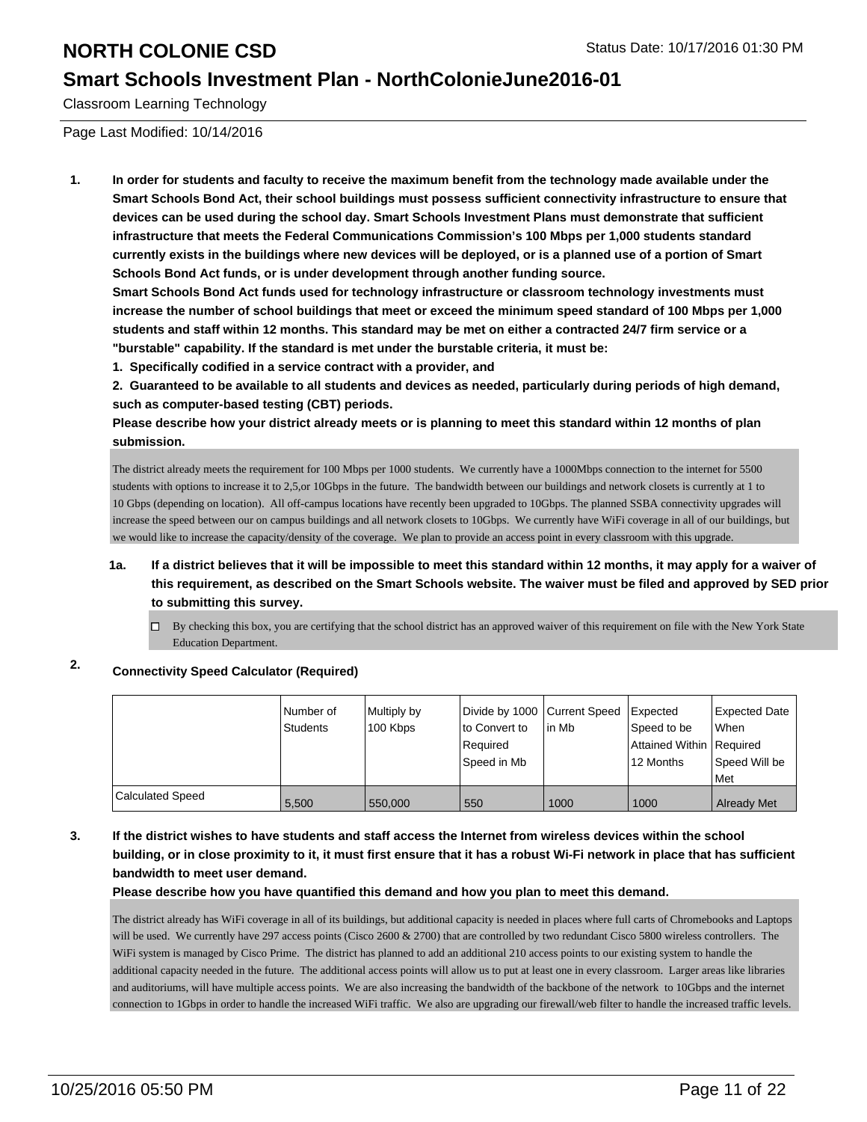### **Smart Schools Investment Plan - NorthColonieJune2016-01**

Classroom Learning Technology

Page Last Modified: 10/14/2016

**1. In order for students and faculty to receive the maximum benefit from the technology made available under the Smart Schools Bond Act, their school buildings must possess sufficient connectivity infrastructure to ensure that devices can be used during the school day. Smart Schools Investment Plans must demonstrate that sufficient infrastructure that meets the Federal Communications Commission's 100 Mbps per 1,000 students standard currently exists in the buildings where new devices will be deployed, or is a planned use of a portion of Smart Schools Bond Act funds, or is under development through another funding source.**

**Smart Schools Bond Act funds used for technology infrastructure or classroom technology investments must increase the number of school buildings that meet or exceed the minimum speed standard of 100 Mbps per 1,000 students and staff within 12 months. This standard may be met on either a contracted 24/7 firm service or a "burstable" capability. If the standard is met under the burstable criteria, it must be:**

**1. Specifically codified in a service contract with a provider, and**

**2. Guaranteed to be available to all students and devices as needed, particularly during periods of high demand, such as computer-based testing (CBT) periods.**

**Please describe how your district already meets or is planning to meet this standard within 12 months of plan submission.**

The district already meets the requirement for 100 Mbps per 1000 students. We currently have a 1000Mbps connection to the internet for 5500 students with options to increase it to 2,5,or 10Gbps in the future. The bandwidth between our buildings and network closets is currently at 1 to 10 Gbps (depending on location). All off-campus locations have recently been upgraded to 10Gbps. The planned SSBA connectivity upgrades will increase the speed between our on campus buildings and all network closets to 10Gbps. We currently have WiFi coverage in all of our buildings, but we would like to increase the capacity/density of the coverage. We plan to provide an access point in every classroom with this upgrade.

- **1a. If a district believes that it will be impossible to meet this standard within 12 months, it may apply for a waiver of this requirement, as described on the Smart Schools website. The waiver must be filed and approved by SED prior to submitting this survey.**
	- $\Box$  By checking this box, you are certifying that the school district has an approved waiver of this requirement on file with the New York State Education Department.

### **2. Connectivity Speed Calculator (Required)**

|                  | l Number of<br>Students | Multiply by<br>100 Kbps | Divide by 1000 Current Speed<br>to Convert to<br>Required<br>Speed in Mb | lin Mb | <b>Expected</b><br>Speed to be<br>Attained Within Required<br>12 Months | Expected Date<br>When<br>Speed Will be<br><b>Met</b> |
|------------------|-------------------------|-------------------------|--------------------------------------------------------------------------|--------|-------------------------------------------------------------------------|------------------------------------------------------|
| Calculated Speed | 5,500                   | 550,000                 | 550                                                                      | 1000   | 1000                                                                    | <b>Already Met</b>                                   |

### **3. If the district wishes to have students and staff access the Internet from wireless devices within the school building, or in close proximity to it, it must first ensure that it has a robust Wi-Fi network in place that has sufficient bandwidth to meet user demand.**

**Please describe how you have quantified this demand and how you plan to meet this demand.**

The district already has WiFi coverage in all of its buildings, but additional capacity is needed in places where full carts of Chromebooks and Laptops will be used. We currently have 297 access points (Cisco 2600 & 2700) that are controlled by two redundant Cisco 5800 wireless controllers. The WiFi system is managed by Cisco Prime. The district has planned to add an additional 210 access points to our existing system to handle the additional capacity needed in the future. The additional access points will allow us to put at least one in every classroom. Larger areas like libraries and auditoriums, will have multiple access points. We are also increasing the bandwidth of the backbone of the network to 10Gbps and the internet connection to 1Gbps in order to handle the increased WiFi traffic. We also are upgrading our firewall/web filter to handle the increased traffic levels.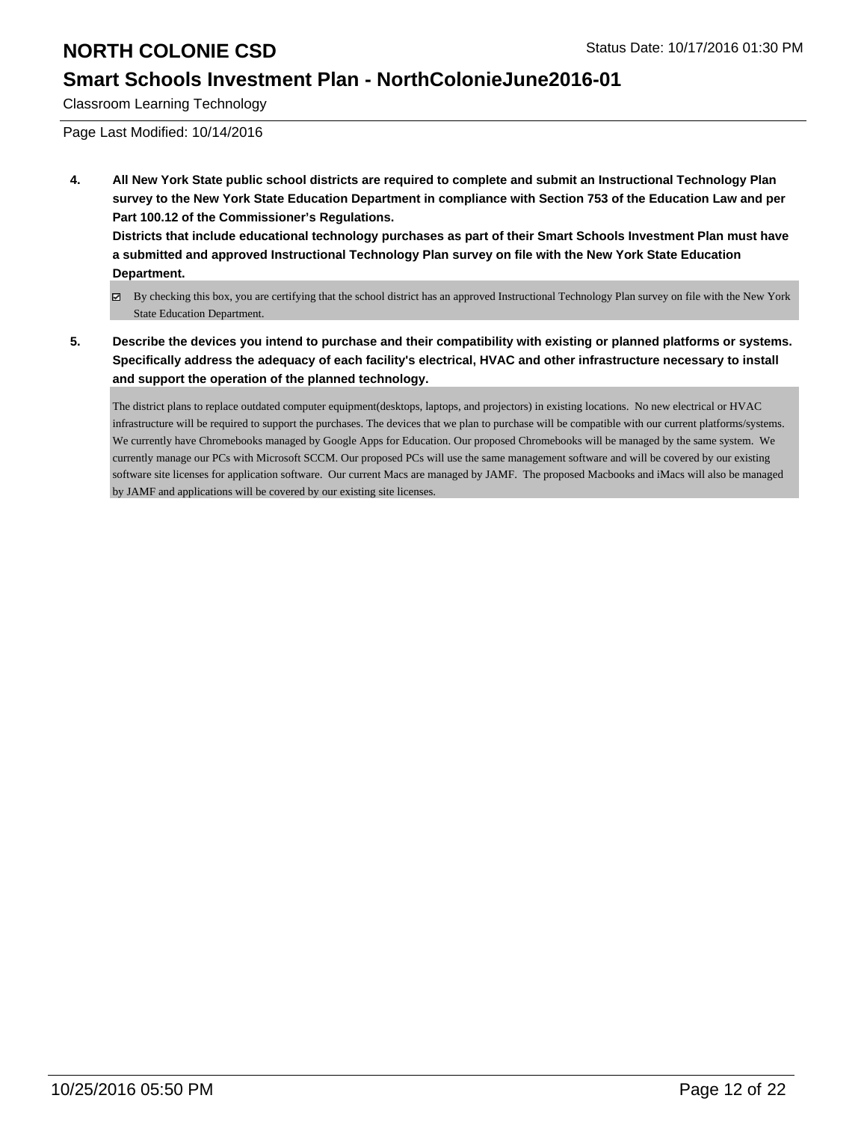### **Smart Schools Investment Plan - NorthColonieJune2016-01**

Classroom Learning Technology

Page Last Modified: 10/14/2016

**4. All New York State public school districts are required to complete and submit an Instructional Technology Plan survey to the New York State Education Department in compliance with Section 753 of the Education Law and per Part 100.12 of the Commissioner's Regulations.**

**Districts that include educational technology purchases as part of their Smart Schools Investment Plan must have a submitted and approved Instructional Technology Plan survey on file with the New York State Education Department.**

- By checking this box, you are certifying that the school district has an approved Instructional Technology Plan survey on file with the New York State Education Department.
- **5. Describe the devices you intend to purchase and their compatibility with existing or planned platforms or systems. Specifically address the adequacy of each facility's electrical, HVAC and other infrastructure necessary to install and support the operation of the planned technology.**

The district plans to replace outdated computer equipment(desktops, laptops, and projectors) in existing locations. No new electrical or HVAC infrastructure will be required to support the purchases. The devices that we plan to purchase will be compatible with our current platforms/systems. We currently have Chromebooks managed by Google Apps for Education. Our proposed Chromebooks will be managed by the same system. We currently manage our PCs with Microsoft SCCM. Our proposed PCs will use the same management software and will be covered by our existing software site licenses for application software. Our current Macs are managed by JAMF. The proposed Macbooks and iMacs will also be managed by JAMF and applications will be covered by our existing site licenses.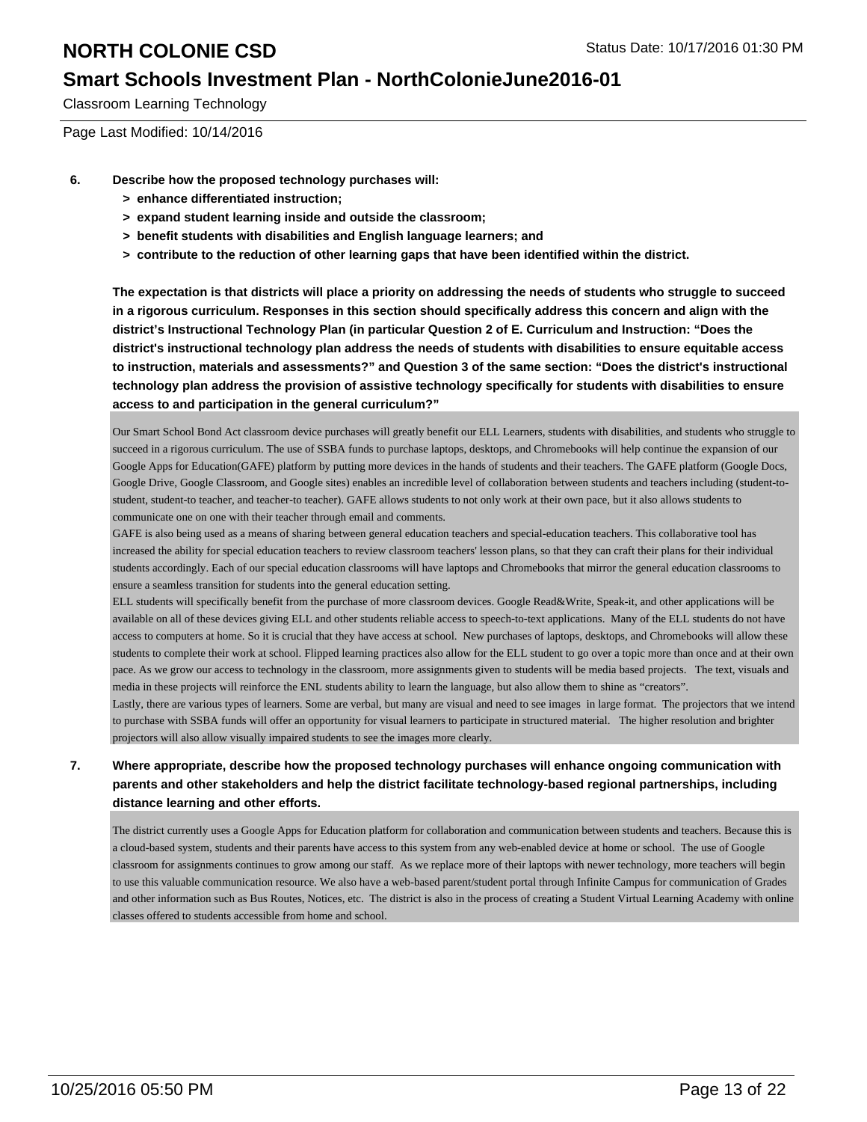### **Smart Schools Investment Plan - NorthColonieJune2016-01**

Classroom Learning Technology

Page Last Modified: 10/14/2016

- **6. Describe how the proposed technology purchases will:**
	- **> enhance differentiated instruction;**
	- **> expand student learning inside and outside the classroom;**
	- **> benefit students with disabilities and English language learners; and**
	- **> contribute to the reduction of other learning gaps that have been identified within the district.**

**The expectation is that districts will place a priority on addressing the needs of students who struggle to succeed in a rigorous curriculum. Responses in this section should specifically address this concern and align with the district's Instructional Technology Plan (in particular Question 2 of E. Curriculum and Instruction: "Does the district's instructional technology plan address the needs of students with disabilities to ensure equitable access to instruction, materials and assessments?" and Question 3 of the same section: "Does the district's instructional technology plan address the provision of assistive technology specifically for students with disabilities to ensure access to and participation in the general curriculum?"**

Our Smart School Bond Act classroom device purchases will greatly benefit our ELL Learners, students with disabilities, and students who struggle to succeed in a rigorous curriculum. The use of SSBA funds to purchase laptops, desktops, and Chromebooks will help continue the expansion of our Google Apps for Education(GAFE) platform by putting more devices in the hands of students and their teachers. The GAFE platform (Google Docs, Google Drive, Google Classroom, and Google sites) enables an incredible level of collaboration between students and teachers including (student-tostudent, student-to teacher, and teacher-to teacher). GAFE allows students to not only work at their own pace, but it also allows students to communicate one on one with their teacher through email and comments.

GAFE is also being used as a means of sharing between general education teachers and special-education teachers. This collaborative tool has increased the ability for special education teachers to review classroom teachers' lesson plans, so that they can craft their plans for their individual students accordingly. Each of our special education classrooms will have laptops and Chromebooks that mirror the general education classrooms to ensure a seamless transition for students into the general education setting.

ELL students will specifically benefit from the purchase of more classroom devices. Google Read&Write, Speak-it, and other applications will be available on all of these devices giving ELL and other students reliable access to speech-to-text applications. Many of the ELL students do not have access to computers at home. So it is crucial that they have access at school. New purchases of laptops, desktops, and Chromebooks will allow these students to complete their work at school. Flipped learning practices also allow for the ELL student to go over a topic more than once and at their own pace. As we grow our access to technology in the classroom, more assignments given to students will be media based projects. The text, visuals and media in these projects will reinforce the ENL students ability to learn the language, but also allow them to shine as "creators".

Lastly, there are various types of learners. Some are verbal, but many are visual and need to see images in large format. The projectors that we intend to purchase with SSBA funds will offer an opportunity for visual learners to participate in structured material. The higher resolution and brighter projectors will also allow visually impaired students to see the images more clearly.

### **7. Where appropriate, describe how the proposed technology purchases will enhance ongoing communication with parents and other stakeholders and help the district facilitate technology-based regional partnerships, including distance learning and other efforts.**

The district currently uses a Google Apps for Education platform for collaboration and communication between students and teachers. Because this is a cloud-based system, students and their parents have access to this system from any web-enabled device at home or school. The use of Google classroom for assignments continues to grow among our staff. As we replace more of their laptops with newer technology, more teachers will begin to use this valuable communication resource. We also have a web-based parent/student portal through Infinite Campus for communication of Grades and other information such as Bus Routes, Notices, etc. The district is also in the process of creating a Student Virtual Learning Academy with online classes offered to students accessible from home and school.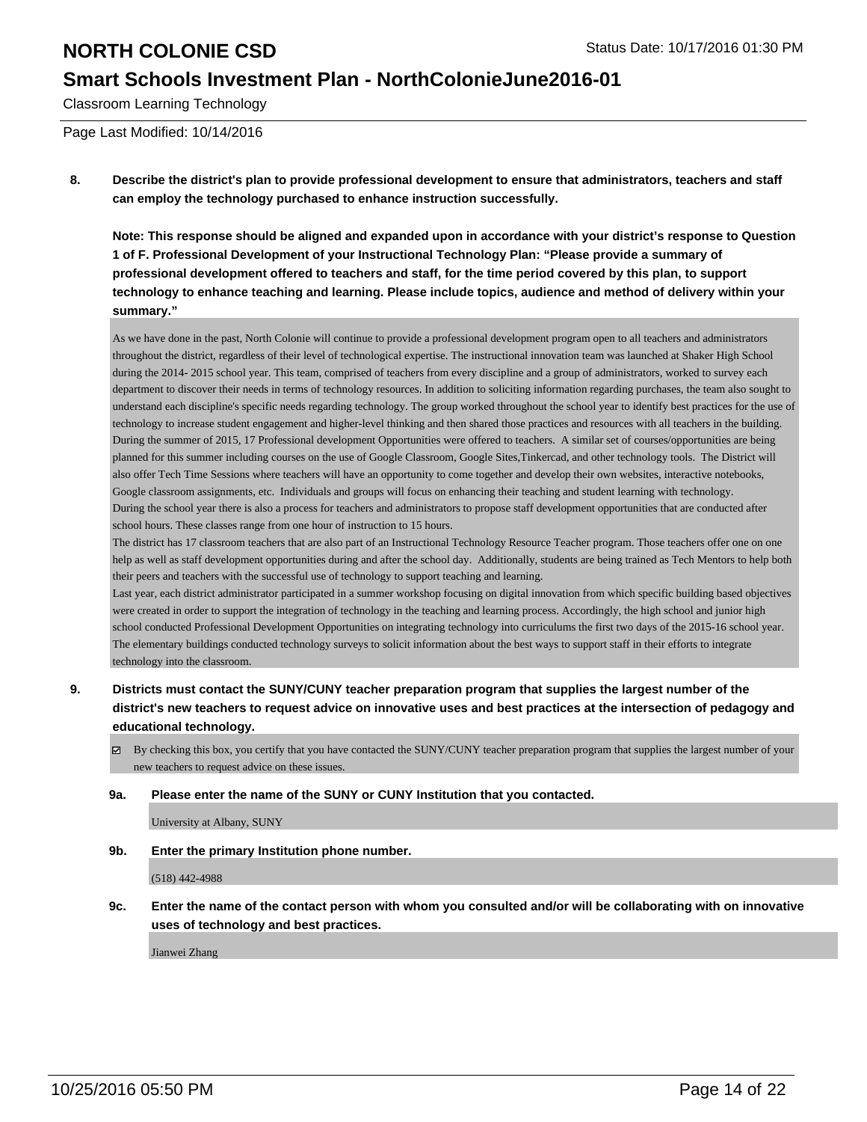### **Smart Schools Investment Plan - NorthColonieJune2016-01**

Classroom Learning Technology

Page Last Modified: 10/14/2016

**8. Describe the district's plan to provide professional development to ensure that administrators, teachers and staff can employ the technology purchased to enhance instruction successfully.**

**Note: This response should be aligned and expanded upon in accordance with your district's response to Question 1 of F. Professional Development of your Instructional Technology Plan: "Please provide a summary of professional development offered to teachers and staff, for the time period covered by this plan, to support technology to enhance teaching and learning. Please include topics, audience and method of delivery within your summary."**

As we have done in the past, North Colonie will continue to provide a professional development program open to all teachers and administrators throughout the district, regardless of their level of technological expertise. The instructional innovation team was launched at Shaker High School during the 2014- 2015 school year. This team, comprised of teachers from every discipline and a group of administrators, worked to survey each department to discover their needs in terms of technology resources. In addition to soliciting information regarding purchases, the team also sought to understand each discipline's specific needs regarding technology. The group worked throughout the school year to identify best practices for the use of technology to increase student engagement and higher-level thinking and then shared those practices and resources with all teachers in the building. During the summer of 2015, 17 Professional development Opportunities were offered to teachers. A similar set of courses/opportunities are being planned for this summer including courses on the use of Google Classroom, Google Sites,Tinkercad, and other technology tools. The District will also offer Tech Time Sessions where teachers will have an opportunity to come together and develop their own websites, interactive notebooks, Google classroom assignments, etc. Individuals and groups will focus on enhancing their teaching and student learning with technology. During the school year there is also a process for teachers and administrators to propose staff development opportunities that are conducted after school hours. These classes range from one hour of instruction to 15 hours.

The district has 17 classroom teachers that are also part of an Instructional Technology Resource Teacher program. Those teachers offer one on one help as well as staff development opportunities during and after the school day. Additionally, students are being trained as Tech Mentors to help both their peers and teachers with the successful use of technology to support teaching and learning.

Last year, each district administrator participated in a summer workshop focusing on digital innovation from which specific building based objectives were created in order to support the integration of technology in the teaching and learning process. Accordingly, the high school and junior high school conducted Professional Development Opportunities on integrating technology into curriculums the first two days of the 2015-16 school year. The elementary buildings conducted technology surveys to solicit information about the best ways to support staff in their efforts to integrate technology into the classroom.

- **9. Districts must contact the SUNY/CUNY teacher preparation program that supplies the largest number of the district's new teachers to request advice on innovative uses and best practices at the intersection of pedagogy and educational technology.**
	- $\boxtimes$  By checking this box, you certify that you have contacted the SUNY/CUNY teacher preparation program that supplies the largest number of your new teachers to request advice on these issues.

#### **9a. Please enter the name of the SUNY or CUNY Institution that you contacted.**

University at Albany, SUNY

**9b. Enter the primary Institution phone number.**

(518) 442-4988

**9c. Enter the name of the contact person with whom you consulted and/or will be collaborating with on innovative uses of technology and best practices.**

Jianwei Zhang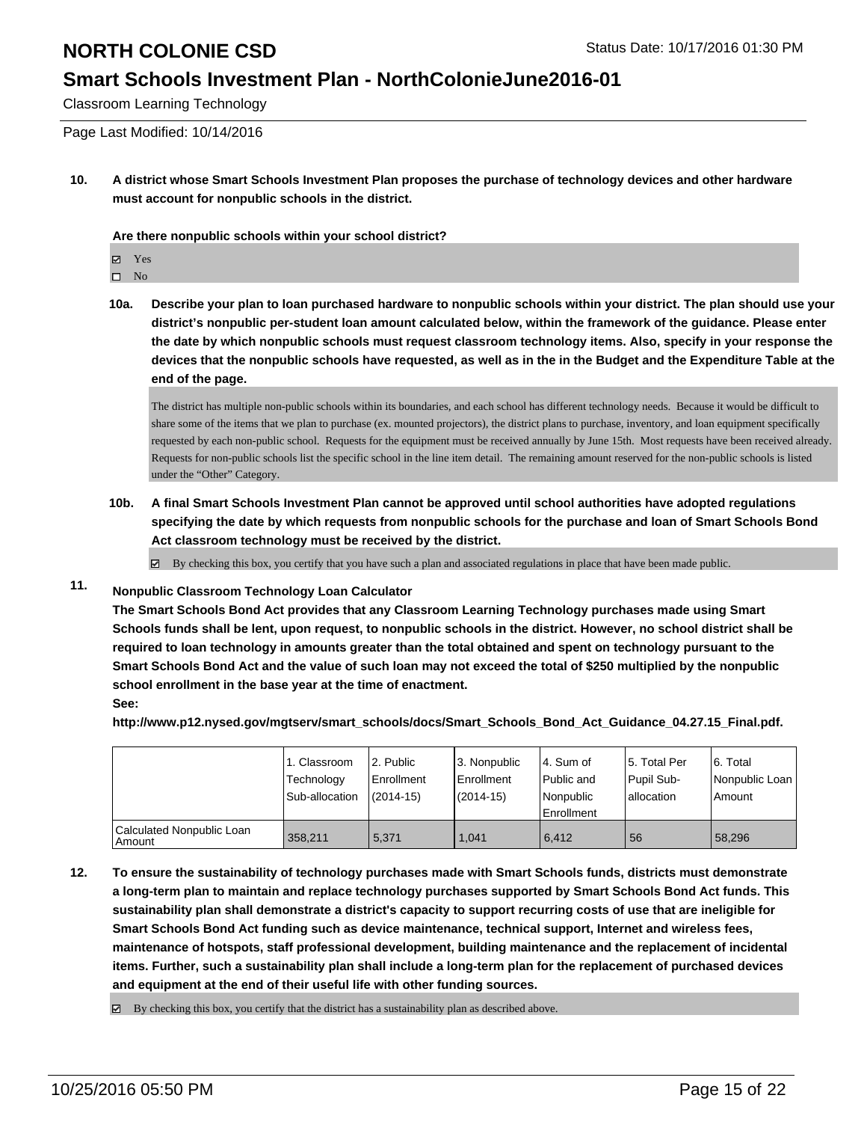### **Smart Schools Investment Plan - NorthColonieJune2016-01**

Classroom Learning Technology

Page Last Modified: 10/14/2016

**10. A district whose Smart Schools Investment Plan proposes the purchase of technology devices and other hardware must account for nonpublic schools in the district.**

**Are there nonpublic schools within your school district?**

Yes

 $\hfill \square$  No

**10a. Describe your plan to loan purchased hardware to nonpublic schools within your district. The plan should use your district's nonpublic per-student loan amount calculated below, within the framework of the guidance. Please enter the date by which nonpublic schools must request classroom technology items. Also, specify in your response the devices that the nonpublic schools have requested, as well as in the in the Budget and the Expenditure Table at the end of the page.**

The district has multiple non-public schools within its boundaries, and each school has different technology needs. Because it would be difficult to share some of the items that we plan to purchase (ex. mounted projectors), the district plans to purchase, inventory, and loan equipment specifically requested by each non-public school. Requests for the equipment must be received annually by June 15th. Most requests have been received already. Requests for non-public schools list the specific school in the line item detail. The remaining amount reserved for the non-public schools is listed under the "Other" Category.

**10b. A final Smart Schools Investment Plan cannot be approved until school authorities have adopted regulations specifying the date by which requests from nonpublic schools for the purchase and loan of Smart Schools Bond Act classroom technology must be received by the district.**

 $\boxtimes$  By checking this box, you certify that you have such a plan and associated regulations in place that have been made public.

### **11. Nonpublic Classroom Technology Loan Calculator**

**The Smart Schools Bond Act provides that any Classroom Learning Technology purchases made using Smart Schools funds shall be lent, upon request, to nonpublic schools in the district. However, no school district shall be required to loan technology in amounts greater than the total obtained and spent on technology pursuant to the Smart Schools Bond Act and the value of such loan may not exceed the total of \$250 multiplied by the nonpublic school enrollment in the base year at the time of enactment. See:**

**http://www.p12.nysed.gov/mgtserv/smart\_schools/docs/Smart\_Schools\_Bond\_Act\_Guidance\_04.27.15\_Final.pdf.**

|                                       | 1. Classroom<br>Technology<br>Sub-allocation | l 2. Public<br>l Enrollment<br>$(2014 - 15)$ | 3. Nonpublic<br>Enrollment<br>$(2014 - 15)$ | 4. Sum of<br>Public and<br>Nonpublic<br><b>Enrollment</b> | 15. Total Per<br>Pupil Sub-<br>lallocation | 6. Total<br>Nonpublic Loan<br>Amount |
|---------------------------------------|----------------------------------------------|----------------------------------------------|---------------------------------------------|-----------------------------------------------------------|--------------------------------------------|--------------------------------------|
| Calculated Nonpublic Loan<br>  Amount | 358.211                                      | 5.371                                        | 1.041                                       | 6.412                                                     | 56                                         | 58.296                               |

**12. To ensure the sustainability of technology purchases made with Smart Schools funds, districts must demonstrate a long-term plan to maintain and replace technology purchases supported by Smart Schools Bond Act funds. This sustainability plan shall demonstrate a district's capacity to support recurring costs of use that are ineligible for Smart Schools Bond Act funding such as device maintenance, technical support, Internet and wireless fees, maintenance of hotspots, staff professional development, building maintenance and the replacement of incidental items. Further, such a sustainability plan shall include a long-term plan for the replacement of purchased devices and equipment at the end of their useful life with other funding sources.**

 $\boxtimes$  By checking this box, you certify that the district has a sustainability plan as described above.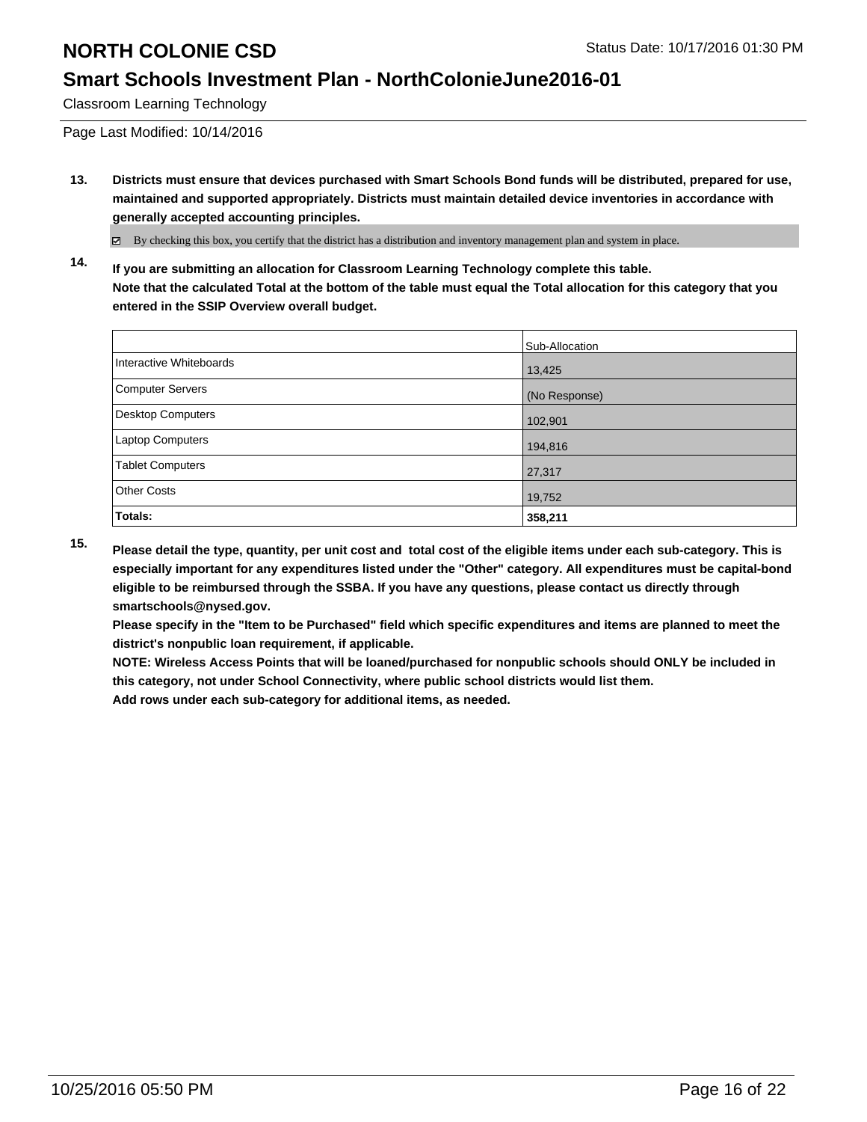### **Smart Schools Investment Plan - NorthColonieJune2016-01**

Classroom Learning Technology

Page Last Modified: 10/14/2016

**13. Districts must ensure that devices purchased with Smart Schools Bond funds will be distributed, prepared for use, maintained and supported appropriately. Districts must maintain detailed device inventories in accordance with generally accepted accounting principles.**

By checking this box, you certify that the district has a distribution and inventory management plan and system in place.

**14. If you are submitting an allocation for Classroom Learning Technology complete this table. Note that the calculated Total at the bottom of the table must equal the Total allocation for this category that you entered in the SSIP Overview overall budget.**

|                          | Sub-Allocation |
|--------------------------|----------------|
| Interactive Whiteboards  | 13,425         |
| Computer Servers         | (No Response)  |
| <b>Desktop Computers</b> | 102,901        |
| Laptop Computers         | 194,816        |
| Tablet Computers         | 27,317         |
| Other Costs              | 19,752         |
| Totals:                  | 358,211        |

**15. Please detail the type, quantity, per unit cost and total cost of the eligible items under each sub-category. This is especially important for any expenditures listed under the "Other" category. All expenditures must be capital-bond eligible to be reimbursed through the SSBA. If you have any questions, please contact us directly through smartschools@nysed.gov.**

**Please specify in the "Item to be Purchased" field which specific expenditures and items are planned to meet the district's nonpublic loan requirement, if applicable.**

**NOTE: Wireless Access Points that will be loaned/purchased for nonpublic schools should ONLY be included in this category, not under School Connectivity, where public school districts would list them.**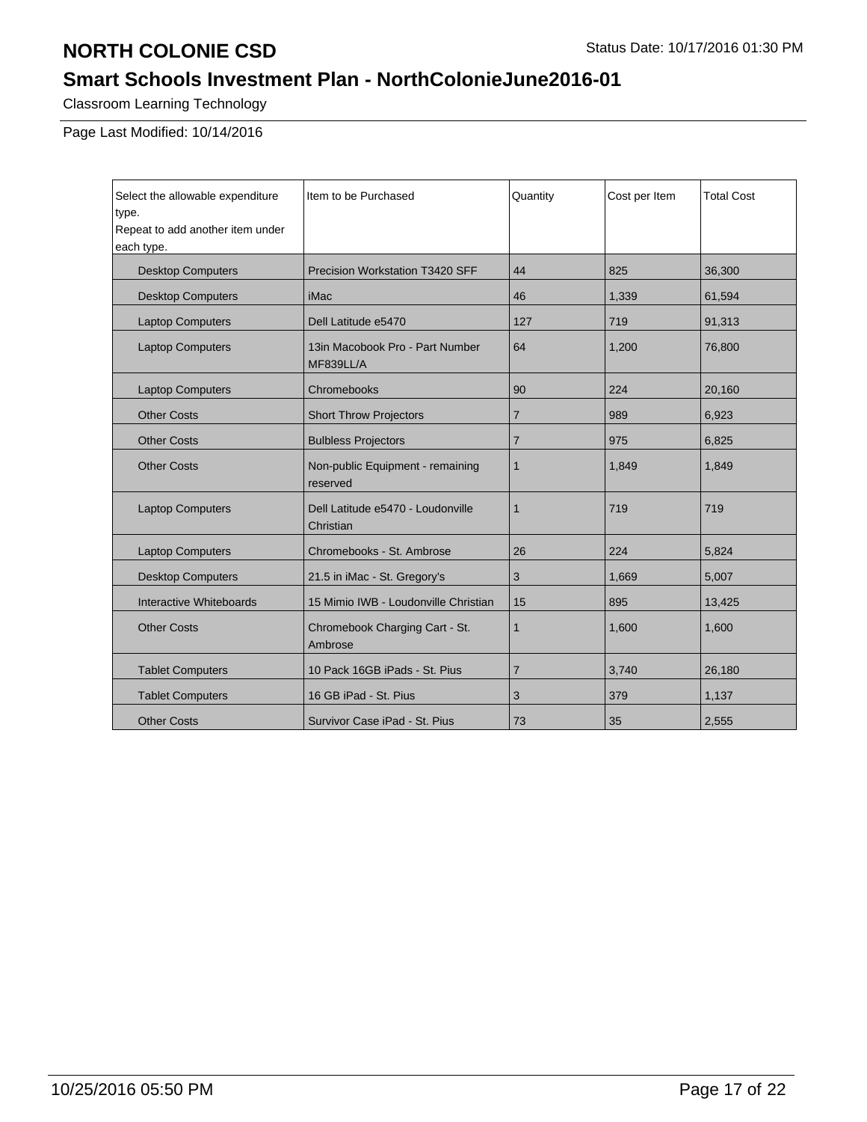## **Smart Schools Investment Plan - NorthColonieJune2016-01**

Classroom Learning Technology

| Select the allowable expenditure<br>type.<br>Repeat to add another item under<br>each type. | Item to be Purchased                           | Quantity       | Cost per Item | <b>Total Cost</b> |
|---------------------------------------------------------------------------------------------|------------------------------------------------|----------------|---------------|-------------------|
| <b>Desktop Computers</b>                                                                    | Precision Workstation T3420 SFF                | 44             | 825           | 36,300            |
| <b>Desktop Computers</b>                                                                    | iMac                                           | 46             | 1,339         | 61,594            |
| <b>Laptop Computers</b>                                                                     | Dell Latitude e5470                            | 127            | 719           | 91,313            |
| <b>Laptop Computers</b>                                                                     | 13in Macobook Pro - Part Number<br>MF839LL/A   | 64             | 1,200         | 76,800            |
| <b>Laptop Computers</b>                                                                     | Chromebooks                                    | 90             | 224           | 20,160            |
| <b>Other Costs</b>                                                                          | <b>Short Throw Projectors</b>                  | $\overline{7}$ | 989           | 6,923             |
| <b>Other Costs</b>                                                                          | <b>Bulbless Projectors</b>                     | $\overline{7}$ | 975           | 6,825             |
| <b>Other Costs</b>                                                                          | Non-public Equipment - remaining<br>reserved   | 1              | 1,849         | 1,849             |
| <b>Laptop Computers</b>                                                                     | Dell Latitude e5470 - Loudonville<br>Christian | 1              | 719           | 719               |
| <b>Laptop Computers</b>                                                                     | Chromebooks - St. Ambrose                      | 26             | 224           | 5,824             |
| <b>Desktop Computers</b>                                                                    | 21.5 in iMac - St. Gregory's                   | 3              | 1,669         | 5,007             |
| Interactive Whiteboards                                                                     | 15 Mimio IWB - Loudonville Christian           | 15             | 895           | 13,425            |
| <b>Other Costs</b>                                                                          | Chromebook Charging Cart - St.<br>Ambrose      | $\mathbf{1}$   | 1,600         | 1,600             |
| <b>Tablet Computers</b>                                                                     | 10 Pack 16GB iPads - St. Pius                  | 7              | 3,740         | 26,180            |
| <b>Tablet Computers</b>                                                                     | 16 GB iPad - St. Pius                          | 3              | 379           | 1,137             |
| <b>Other Costs</b>                                                                          | Survivor Case iPad - St. Pius                  | 73             | 35            | 2,555             |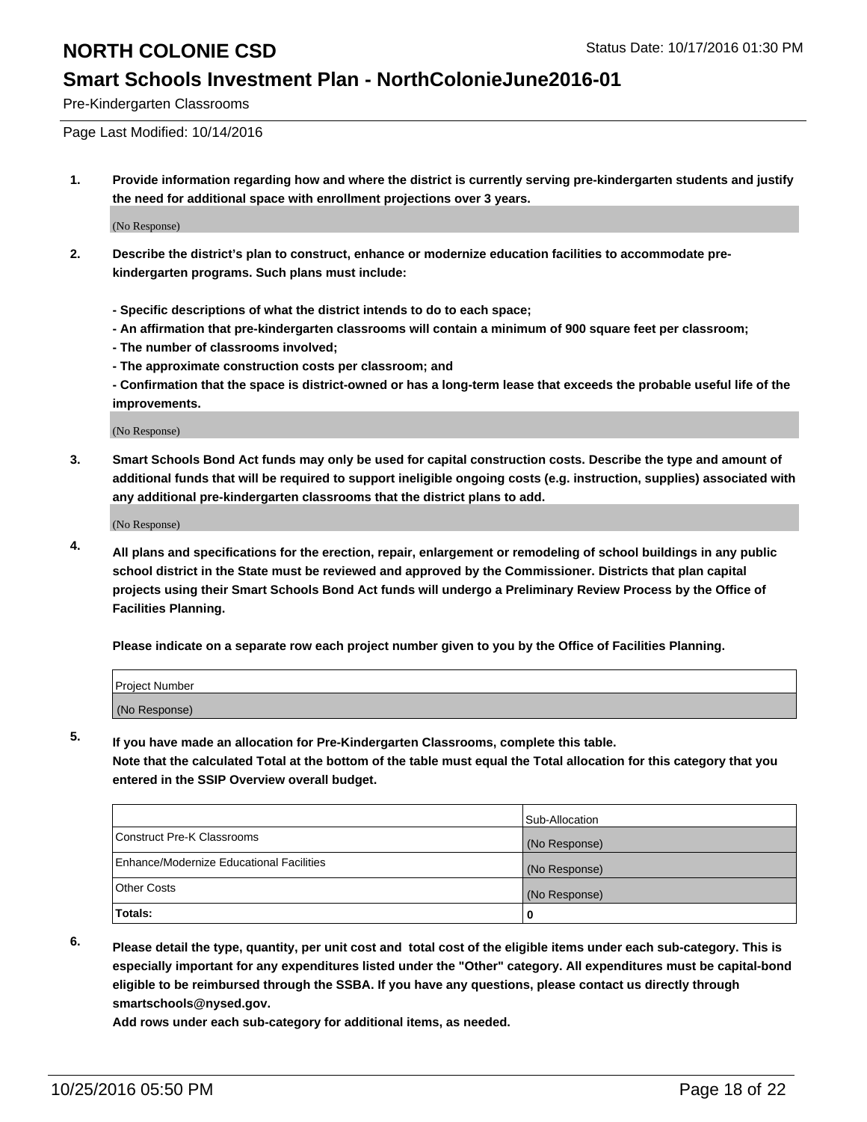### **Smart Schools Investment Plan - NorthColonieJune2016-01**

Pre-Kindergarten Classrooms

Page Last Modified: 10/14/2016

**1. Provide information regarding how and where the district is currently serving pre-kindergarten students and justify the need for additional space with enrollment projections over 3 years.**

(No Response)

- **2. Describe the district's plan to construct, enhance or modernize education facilities to accommodate prekindergarten programs. Such plans must include:**
	- **Specific descriptions of what the district intends to do to each space;**
	- **An affirmation that pre-kindergarten classrooms will contain a minimum of 900 square feet per classroom;**
	- **The number of classrooms involved;**
	- **The approximate construction costs per classroom; and**
	- **Confirmation that the space is district-owned or has a long-term lease that exceeds the probable useful life of the improvements.**

(No Response)

**3. Smart Schools Bond Act funds may only be used for capital construction costs. Describe the type and amount of additional funds that will be required to support ineligible ongoing costs (e.g. instruction, supplies) associated with any additional pre-kindergarten classrooms that the district plans to add.**

(No Response)

**4. All plans and specifications for the erection, repair, enlargement or remodeling of school buildings in any public school district in the State must be reviewed and approved by the Commissioner. Districts that plan capital projects using their Smart Schools Bond Act funds will undergo a Preliminary Review Process by the Office of Facilities Planning.**

**Please indicate on a separate row each project number given to you by the Office of Facilities Planning.**

| Project Number |  |
|----------------|--|
| (No Response)  |  |

**5. If you have made an allocation for Pre-Kindergarten Classrooms, complete this table.**

**Note that the calculated Total at the bottom of the table must equal the Total allocation for this category that you entered in the SSIP Overview overall budget.**

|                                          | Sub-Allocation |
|------------------------------------------|----------------|
| Construct Pre-K Classrooms               | (No Response)  |
| Enhance/Modernize Educational Facilities | (No Response)  |
| Other Costs                              | (No Response)  |
| Totals:                                  |                |

**6. Please detail the type, quantity, per unit cost and total cost of the eligible items under each sub-category. This is especially important for any expenditures listed under the "Other" category. All expenditures must be capital-bond eligible to be reimbursed through the SSBA. If you have any questions, please contact us directly through smartschools@nysed.gov.**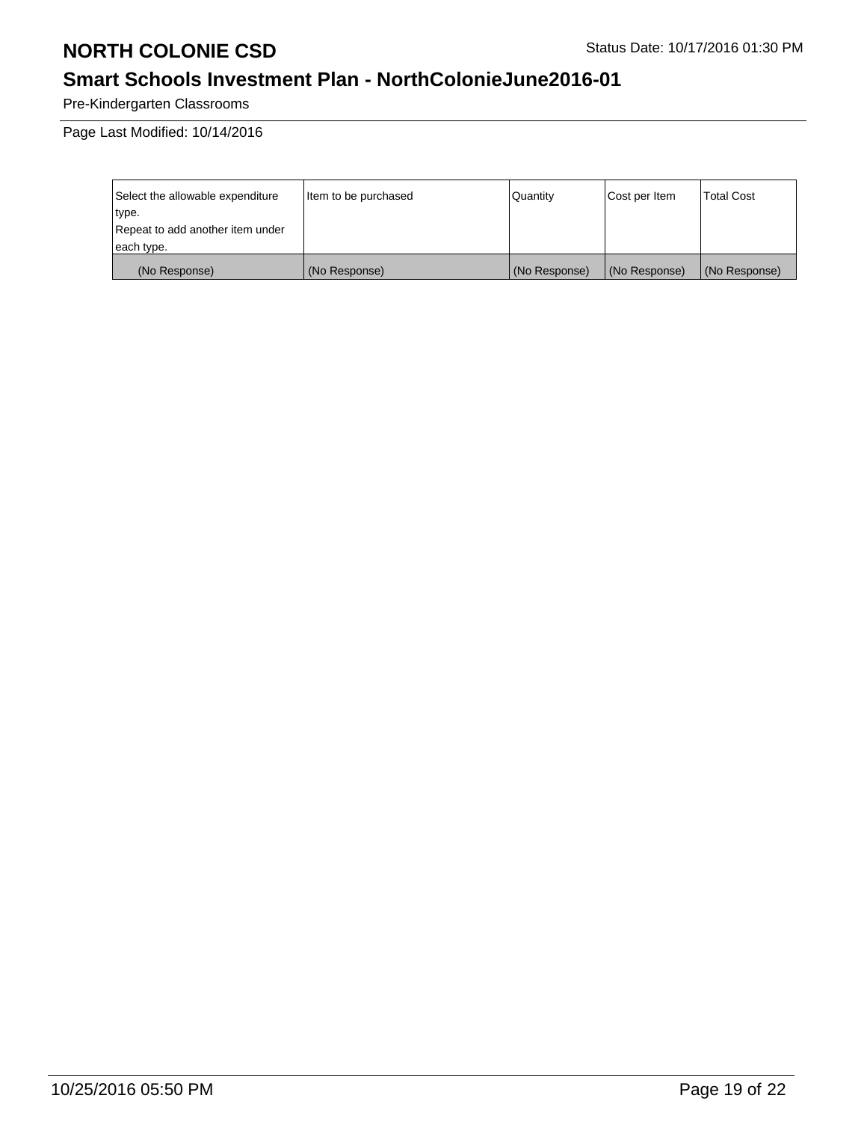# **Smart Schools Investment Plan - NorthColonieJune2016-01**

Pre-Kindergarten Classrooms

| Select the allowable expenditure | litem to be purchased | Quantity      | Cost per Item | <b>Total Cost</b> |
|----------------------------------|-----------------------|---------------|---------------|-------------------|
| type.                            |                       |               |               |                   |
| Repeat to add another item under |                       |               |               |                   |
| each type.                       |                       |               |               |                   |
| (No Response)                    | (No Response)         | (No Response) | (No Response) | (No Response)     |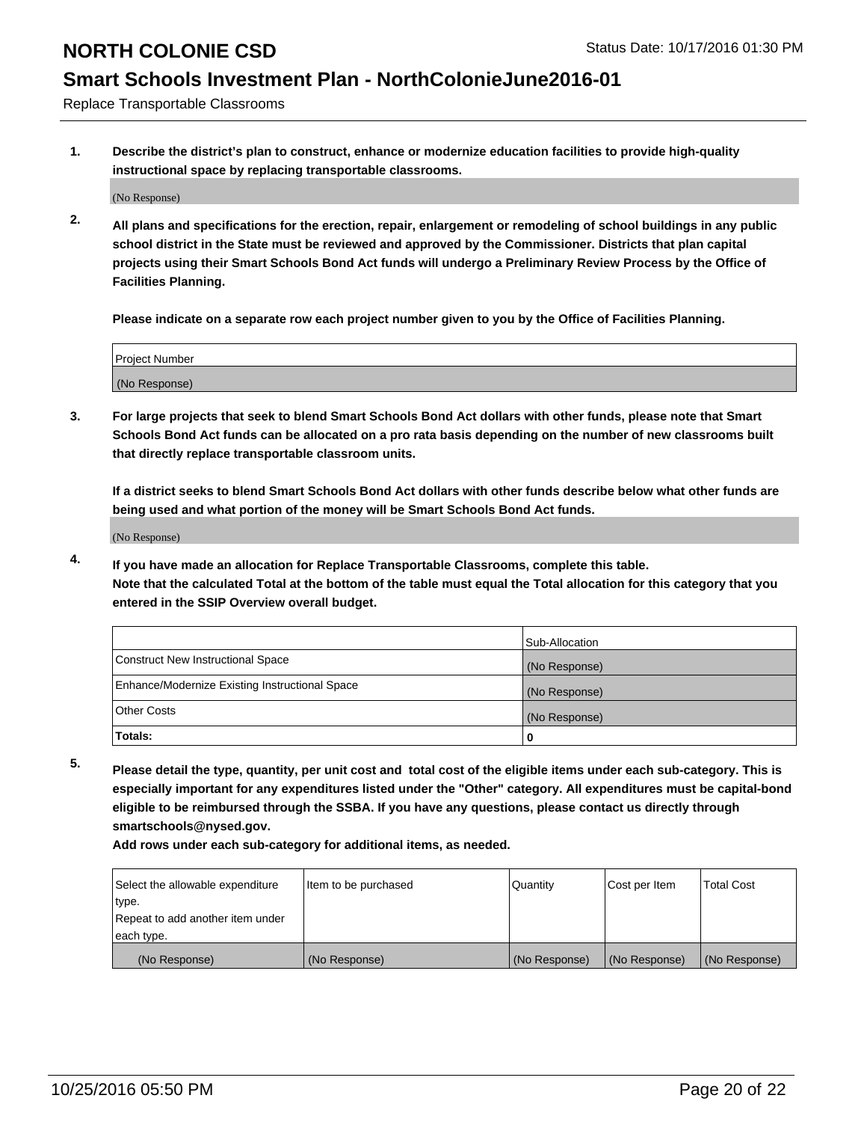### **Smart Schools Investment Plan - NorthColonieJune2016-01**

Replace Transportable Classrooms

**1. Describe the district's plan to construct, enhance or modernize education facilities to provide high-quality instructional space by replacing transportable classrooms.**

(No Response)

**2. All plans and specifications for the erection, repair, enlargement or remodeling of school buildings in any public school district in the State must be reviewed and approved by the Commissioner. Districts that plan capital projects using their Smart Schools Bond Act funds will undergo a Preliminary Review Process by the Office of Facilities Planning.**

**Please indicate on a separate row each project number given to you by the Office of Facilities Planning.**

| Project Number |  |
|----------------|--|
|                |  |
| (No Response)  |  |

**3. For large projects that seek to blend Smart Schools Bond Act dollars with other funds, please note that Smart Schools Bond Act funds can be allocated on a pro rata basis depending on the number of new classrooms built that directly replace transportable classroom units.**

**If a district seeks to blend Smart Schools Bond Act dollars with other funds describe below what other funds are being used and what portion of the money will be Smart Schools Bond Act funds.**

(No Response)

**4. If you have made an allocation for Replace Transportable Classrooms, complete this table. Note that the calculated Total at the bottom of the table must equal the Total allocation for this category that you entered in the SSIP Overview overall budget.**

|                                                | Sub-Allocation |
|------------------------------------------------|----------------|
| Construct New Instructional Space              | (No Response)  |
| Enhance/Modernize Existing Instructional Space | (No Response)  |
| Other Costs                                    | (No Response)  |
| Totals:                                        | 0              |

**5. Please detail the type, quantity, per unit cost and total cost of the eligible items under each sub-category. This is especially important for any expenditures listed under the "Other" category. All expenditures must be capital-bond eligible to be reimbursed through the SSBA. If you have any questions, please contact us directly through smartschools@nysed.gov.**

| Select the allowable expenditure | Item to be purchased | Quantity      | Cost per Item | <b>Total Cost</b> |
|----------------------------------|----------------------|---------------|---------------|-------------------|
| type.                            |                      |               |               |                   |
| Repeat to add another item under |                      |               |               |                   |
| each type.                       |                      |               |               |                   |
| (No Response)                    | (No Response)        | (No Response) | (No Response) | (No Response)     |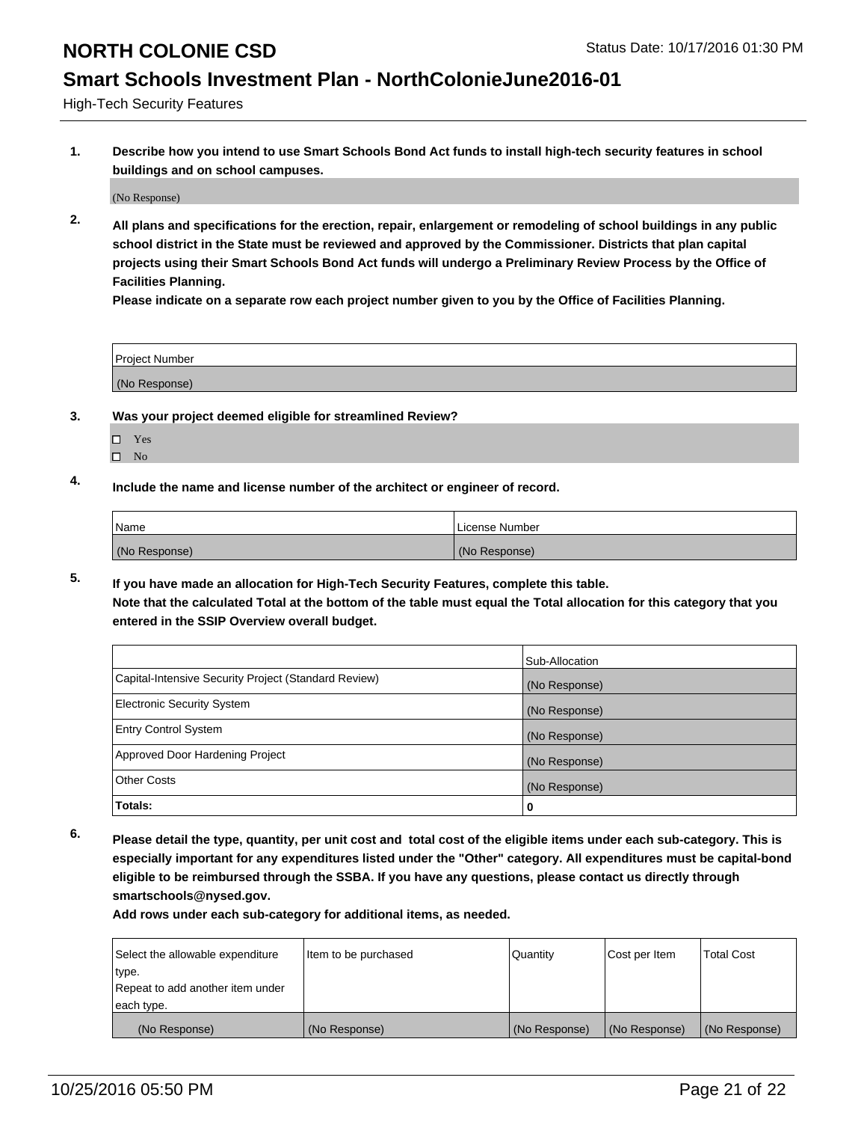### **Smart Schools Investment Plan - NorthColonieJune2016-01**

High-Tech Security Features

**1. Describe how you intend to use Smart Schools Bond Act funds to install high-tech security features in school buildings and on school campuses.**

(No Response)

**2. All plans and specifications for the erection, repair, enlargement or remodeling of school buildings in any public school district in the State must be reviewed and approved by the Commissioner. Districts that plan capital projects using their Smart Schools Bond Act funds will undergo a Preliminary Review Process by the Office of Facilities Planning.** 

**Please indicate on a separate row each project number given to you by the Office of Facilities Planning.**

| Project Number |  |
|----------------|--|
| (No Response)  |  |

### **3. Was your project deemed eligible for streamlined Review?**

- Yes
- $\square$  No

### **4. Include the name and license number of the architect or engineer of record.**

| <b>Name</b>   | License Number |
|---------------|----------------|
| (No Response) | (No Response)  |

**5. If you have made an allocation for High-Tech Security Features, complete this table.**

**Note that the calculated Total at the bottom of the table must equal the Total allocation for this category that you entered in the SSIP Overview overall budget.**

|                                                      | Sub-Allocation |
|------------------------------------------------------|----------------|
| Capital-Intensive Security Project (Standard Review) | (No Response)  |
| <b>Electronic Security System</b>                    | (No Response)  |
| <b>Entry Control System</b>                          | (No Response)  |
| Approved Door Hardening Project                      | (No Response)  |
| <b>Other Costs</b>                                   | (No Response)  |
| Totals:                                              | 0              |

**6. Please detail the type, quantity, per unit cost and total cost of the eligible items under each sub-category. This is especially important for any expenditures listed under the "Other" category. All expenditures must be capital-bond eligible to be reimbursed through the SSBA. If you have any questions, please contact us directly through smartschools@nysed.gov.**

| Select the allowable expenditure | litem to be purchased | Quantity      | Cost per Item | <b>Total Cost</b> |
|----------------------------------|-----------------------|---------------|---------------|-------------------|
| type.                            |                       |               |               |                   |
| Repeat to add another item under |                       |               |               |                   |
| each type.                       |                       |               |               |                   |
| (No Response)                    | (No Response)         | (No Response) | (No Response) | (No Response)     |